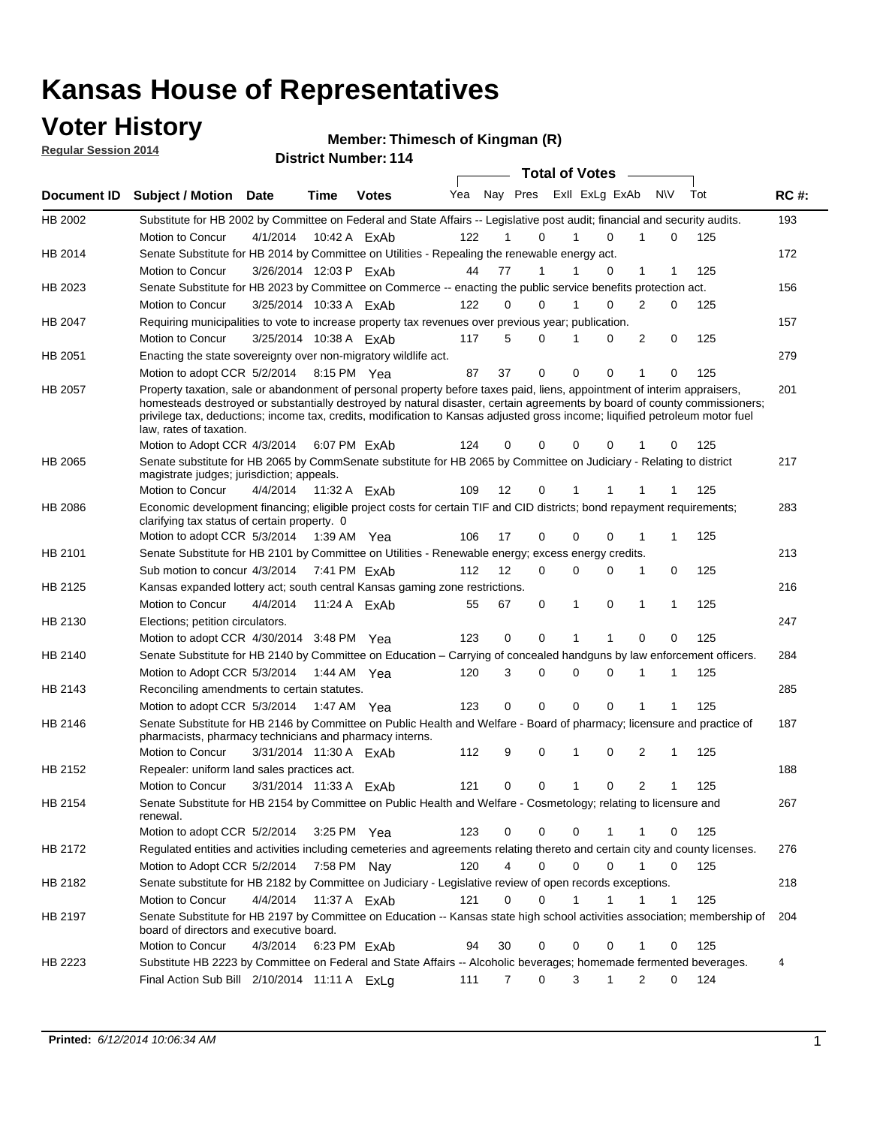### **Voter History**

**Regular Session 2014**

#### **Thimesch of Kingman (R)**

|             |                                                                                                                                                                                                                                                                                                                                                                                                                  |                        |              | <b>DISTING MAILINGL.</b> LITT |     |    |                  | <b>Total of Votes</b>      |                |              |     |             |
|-------------|------------------------------------------------------------------------------------------------------------------------------------------------------------------------------------------------------------------------------------------------------------------------------------------------------------------------------------------------------------------------------------------------------------------|------------------------|--------------|-------------------------------|-----|----|------------------|----------------------------|----------------|--------------|-----|-------------|
| Document ID | <b>Subject / Motion</b>                                                                                                                                                                                                                                                                                                                                                                                          | Date                   | Time         | <b>Votes</b>                  | Yea |    |                  | Nay Pres Exll ExLg ExAb    |                | <b>NV</b>    | Tot | <b>RC#:</b> |
| HB 2002     | Substitute for HB 2002 by Committee on Federal and State Affairs -- Legislative post audit; financial and security audits.                                                                                                                                                                                                                                                                                       |                        |              |                               |     |    |                  |                            |                |              |     | 193         |
|             | Motion to Concur                                                                                                                                                                                                                                                                                                                                                                                                 | 4/1/2014               |              | 10:42 A ExAb                  | 122 |    | 0                | $\Omega$                   |                | 0            | 125 |             |
| HB 2014     | Senate Substitute for HB 2014 by Committee on Utilities - Repealing the renewable energy act.                                                                                                                                                                                                                                                                                                                    |                        |              |                               |     |    |                  |                            |                |              |     | 172         |
|             | Motion to Concur                                                                                                                                                                                                                                                                                                                                                                                                 | 3/26/2014 12:03 P ExAb |              |                               | 44  | 77 | 1                | 0                          | 1              | 1            | 125 |             |
| HB 2023     | Senate Substitute for HB 2023 by Committee on Commerce -- enacting the public service benefits protection act.                                                                                                                                                                                                                                                                                                   |                        |              |                               |     |    |                  |                            |                |              |     | 156         |
|             | Motion to Concur                                                                                                                                                                                                                                                                                                                                                                                                 | 3/25/2014 10:33 A ExAb |              |                               | 122 |    | 0<br>0           | $\Omega$<br>1              | 2              | 0            | 125 |             |
| HB 2047     | Requiring municipalities to vote to increase property tax revenues over previous year; publication.                                                                                                                                                                                                                                                                                                              |                        |              |                               |     |    |                  |                            |                |              |     | 157         |
|             | Motion to Concur                                                                                                                                                                                                                                                                                                                                                                                                 | 3/25/2014 10:38 A FxAb |              |                               | 117 |    | 5<br>$\Omega$    | 0                          | 2              | 0            | 125 |             |
| HB 2051     | Enacting the state sovereignty over non-migratory wildlife act.                                                                                                                                                                                                                                                                                                                                                  |                        |              |                               |     |    |                  |                            |                |              |     | 279         |
|             | Motion to adopt CCR 5/2/2014                                                                                                                                                                                                                                                                                                                                                                                     |                        | 8:15 PM Yea  |                               | 87  | 37 | $\mathbf 0$      | $\mathbf 0$<br>0           | 1              | 0            | 125 |             |
| HB 2057     | Property taxation, sale or abandonment of personal property before taxes paid, liens, appointment of interim appraisers,<br>homesteads destroyed or substantially destroyed by natural disaster, certain agreements by board of county commissioners;<br>privilege tax, deductions; income tax, credits, modification to Kansas adjusted gross income; liquified petroleum motor fuel<br>law, rates of taxation. |                        |              |                               |     |    |                  |                            |                |              |     | 201         |
|             | Motion to Adopt CCR 4/3/2014                                                                                                                                                                                                                                                                                                                                                                                     |                        |              | 6:07 PM FxAb                  | 124 | 0  | 0                | $\mathbf 0$<br>0           |                | 0            | 125 |             |
| HB 2065     | Senate substitute for HB 2065 by CommSenate substitute for HB 2065 by Committee on Judiciary - Relating to district<br>magistrate judges; jurisdiction; appeals.                                                                                                                                                                                                                                                 |                        |              |                               |     |    |                  |                            |                |              |     | 217         |
|             | Motion to Concur                                                                                                                                                                                                                                                                                                                                                                                                 | 4/4/2014               | 11:32 A ExAb |                               | 109 | 12 | 0                | 1                          |                |              | 125 |             |
| HB 2086     | Economic development financing; eligible project costs for certain TIF and CID districts; bond repayment requirements;<br>clarifying tax status of certain property. 0                                                                                                                                                                                                                                           |                        |              |                               |     |    |                  |                            |                |              |     | 283         |
|             | Motion to adopt CCR 5/3/2014                                                                                                                                                                                                                                                                                                                                                                                     |                        | 1:39 AM Yea  |                               | 106 | 17 | 0                | $\mathbf 0$<br>$\Omega$    | 1              | 1            | 125 |             |
| HB 2101     | Senate Substitute for HB 2101 by Committee on Utilities - Renewable energy; excess energy credits.                                                                                                                                                                                                                                                                                                               |                        |              |                               |     |    |                  |                            |                |              |     | 213         |
|             | Sub motion to concur 4/3/2014                                                                                                                                                                                                                                                                                                                                                                                    |                        |              | 7:41 PM ExAb                  | 112 | 12 | 0                | $\mathbf 0$<br>$\mathbf 0$ | 1              | 0            | 125 |             |
| HB 2125     | Kansas expanded lottery act; south central Kansas gaming zone restrictions.                                                                                                                                                                                                                                                                                                                                      |                        |              |                               |     |    |                  |                            |                |              |     | 216         |
|             | Motion to Concur                                                                                                                                                                                                                                                                                                                                                                                                 | 4/4/2014               |              | 11:24 A ExAb                  | 55  | 67 | 0                | 1<br>0                     | 1              | 1            | 125 |             |
| HB 2130     | Elections; petition circulators.                                                                                                                                                                                                                                                                                                                                                                                 |                        |              |                               |     |    |                  |                            |                |              |     | 247         |
|             | Motion to adopt CCR 4/30/2014 3:48 PM Yea                                                                                                                                                                                                                                                                                                                                                                        |                        |              |                               | 123 | 0  | 0                |                            | $\Omega$       | 0            | 125 |             |
| HB 2140     | Senate Substitute for HB 2140 by Committee on Education – Carrying of concealed handguns by law enforcement officers.                                                                                                                                                                                                                                                                                            |                        |              |                               |     |    |                  |                            |                |              |     | 284         |
|             | Motion to Adopt CCR 5/3/2014                                                                                                                                                                                                                                                                                                                                                                                     |                        | 1:44 AM Yea  |                               | 120 |    | 3<br>0           | $\mathbf 0$<br>$\mathbf 0$ | 1              | 1            | 125 |             |
| HB 2143     | Reconciling amendments to certain statutes.                                                                                                                                                                                                                                                                                                                                                                      |                        |              |                               |     |    |                  |                            |                |              |     | 285         |
|             | Motion to adopt CCR 5/3/2014                                                                                                                                                                                                                                                                                                                                                                                     |                        | 1:47 AM Yea  |                               | 123 |    | 0<br>0           | $\mathbf 0$<br>$\mathbf 0$ | 1              | 1            | 125 |             |
| HB 2146     | Senate Substitute for HB 2146 by Committee on Public Health and Welfare - Board of pharmacy; licensure and practice of<br>pharmacists, pharmacy technicians and pharmacy interns.                                                                                                                                                                                                                                |                        |              |                               |     |    |                  |                            |                |              |     | 187         |
|             | Motion to Concur                                                                                                                                                                                                                                                                                                                                                                                                 | 3/31/2014 11:30 A ExAb |              |                               | 112 |    | 9<br>0           | $\mathbf 0$<br>1           | 2              | 1            | 125 |             |
| HB 2152     | Repealer: uniform land sales practices act.                                                                                                                                                                                                                                                                                                                                                                      |                        |              |                               |     |    |                  |                            |                |              |     | 188         |
|             | Motion to Concur                                                                                                                                                                                                                                                                                                                                                                                                 | 3/31/2014 11:33 A ExAb |              |                               | 121 | 0  | 0                | 1<br>0                     | $\overline{2}$ | 1            | 125 |             |
| HB 2154     | Senate Substitute for HB 2154 by Committee on Public Health and Welfare - Cosmetology; relating to licensure and<br>renewal.                                                                                                                                                                                                                                                                                     |                        |              |                               |     |    |                  |                            |                |              |     | 267         |
|             | Motion to adopt CCR 5/2/2014                                                                                                                                                                                                                                                                                                                                                                                     |                        | 3:25 PM Yea  |                               | 123 |    | 0<br>0           | 0<br>1                     | 1              | 0            | 125 |             |
| HB 2172     | Regulated entities and activities including cemeteries and agreements relating thereto and certain city and county licenses.                                                                                                                                                                                                                                                                                     |                        |              |                               |     |    |                  |                            |                |              |     | 276         |
|             | Motion to Adopt CCR 5/2/2014                                                                                                                                                                                                                                                                                                                                                                                     |                        |              | 7:58 PM Nay                   | 120 |    | 4<br>$\mathbf 0$ | $\mathbf 0$<br>$\Omega$    | $\mathbf{1}$   | $\mathbf 0$  | 125 |             |
| HB 2182     | Senate substitute for HB 2182 by Committee on Judiciary - Legislative review of open records exceptions.                                                                                                                                                                                                                                                                                                         |                        |              |                               |     |    |                  |                            |                |              |     | 218         |
|             | Motion to Concur                                                                                                                                                                                                                                                                                                                                                                                                 | 4/4/2014               | 11:37 A ExAb |                               | 121 | 0  | $\mathbf 0$      | $\mathbf{1}$<br>1          | 1              | $\mathbf{1}$ | 125 |             |
| HB 2197     | Senate Substitute for HB 2197 by Committee on Education -- Kansas state high school activities association; membership of                                                                                                                                                                                                                                                                                        |                        |              |                               |     |    |                  |                            |                |              |     | 204         |
|             | board of directors and executive board.                                                                                                                                                                                                                                                                                                                                                                          |                        |              | 6:23 PM ExAb                  |     |    | 0                | 0                          | 1              | 0            | 125 |             |
|             | Motion to Concur<br>Substitute HB 2223 by Committee on Federal and State Affairs -- Alcoholic beverages; homemade fermented beverages.                                                                                                                                                                                                                                                                           | 4/3/2014               |              |                               | 94  | 30 |                  | 0                          |                |              |     |             |
| HB 2223     | Final Action Sub Bill 2/10/2014 11:11 A ExLg                                                                                                                                                                                                                                                                                                                                                                     |                        |              |                               | 111 |    | 0<br>7           | 3<br>1                     | 2              | 0            | 124 | 4           |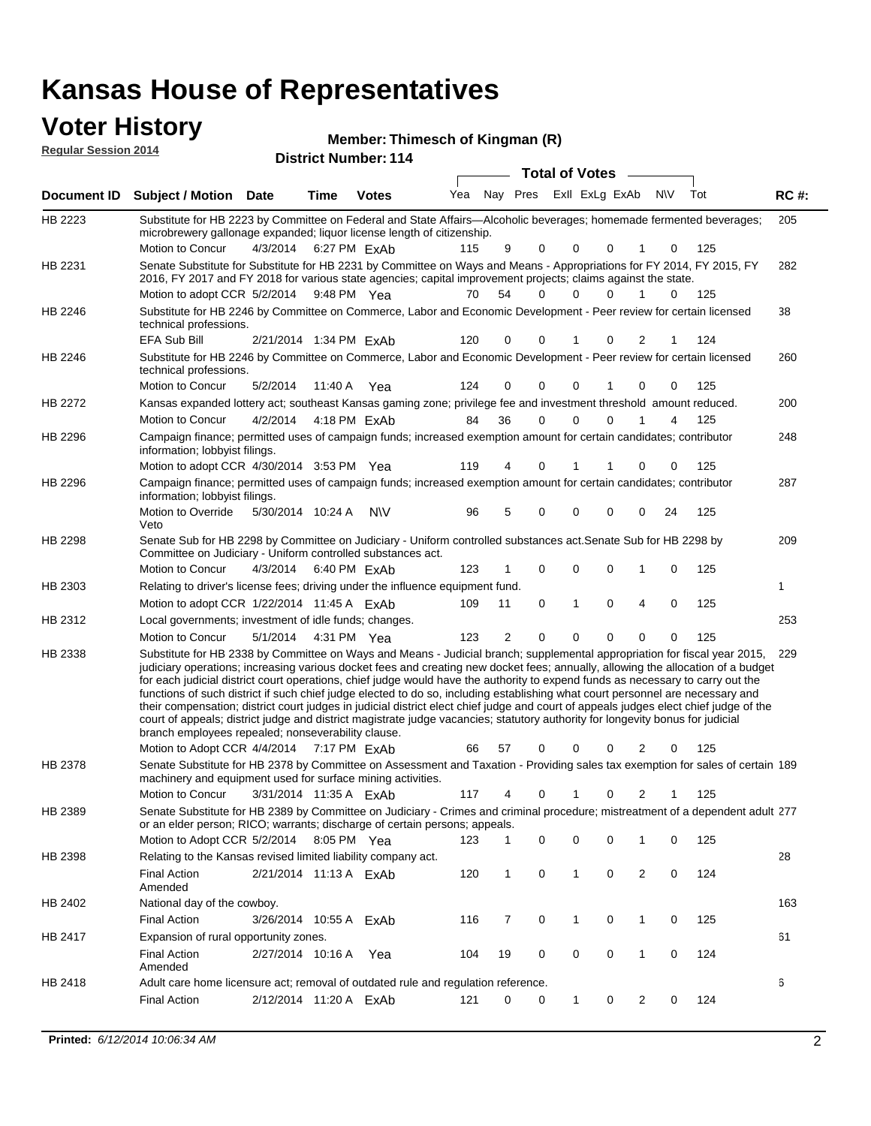### **Voter History**

**Regular Session 2014**

**Thimesch of Kingman (R)**

| noguidi ocoolori zu in |                                                                                                                                                                                                                                                                                                                                                                                                                                                                                                                                                                                                                                                                                                                                                                                                                                                                                                                  |                        |             | <b>District Number: 114</b> |     |              |             |                       |                |                   |          |             |
|------------------------|------------------------------------------------------------------------------------------------------------------------------------------------------------------------------------------------------------------------------------------------------------------------------------------------------------------------------------------------------------------------------------------------------------------------------------------------------------------------------------------------------------------------------------------------------------------------------------------------------------------------------------------------------------------------------------------------------------------------------------------------------------------------------------------------------------------------------------------------------------------------------------------------------------------|------------------------|-------------|-----------------------------|-----|--------------|-------------|-----------------------|----------------|-------------------|----------|-------------|
|                        |                                                                                                                                                                                                                                                                                                                                                                                                                                                                                                                                                                                                                                                                                                                                                                                                                                                                                                                  |                        |             |                             |     |              |             | <b>Total of Votes</b> |                |                   |          |             |
| Document ID            | <b>Subject / Motion Date</b>                                                                                                                                                                                                                                                                                                                                                                                                                                                                                                                                                                                                                                                                                                                                                                                                                                                                                     |                        | Time        | <b>Votes</b>                | Yea | Nay Pres     |             |                       | Exll ExLg ExAb | N\V               | Tot      | <b>RC#:</b> |
| HB 2223                | Substitute for HB 2223 by Committee on Federal and State Affairs—Alcoholic beverages; homemade fermented beverages;<br>microbrewery gallonage expanded; liquor license length of citizenship.                                                                                                                                                                                                                                                                                                                                                                                                                                                                                                                                                                                                                                                                                                                    |                        |             |                             |     |              |             |                       |                |                   |          | 205         |
|                        | Motion to Concur                                                                                                                                                                                                                                                                                                                                                                                                                                                                                                                                                                                                                                                                                                                                                                                                                                                                                                 | 4/3/2014               |             | 6:27 PM ExAb                | 115 | 9            | 0           | 0                     | $\Omega$       | 0                 | 125      |             |
| HB 2231                | Senate Substitute for Substitute for HB 2231 by Committee on Ways and Means - Appropriations for FY 2014, FY 2015, FY<br>2016, FY 2017 and FY 2018 for various state agencies; capital improvement projects; claims against the state.                                                                                                                                                                                                                                                                                                                                                                                                                                                                                                                                                                                                                                                                           |                        |             |                             |     |              |             |                       |                |                   |          | 282         |
|                        | Motion to adopt CCR 5/2/2014                                                                                                                                                                                                                                                                                                                                                                                                                                                                                                                                                                                                                                                                                                                                                                                                                                                                                     |                        | 9:48 PM Yea |                             | 70  | 54           | 0           | 0                     | $\Omega$       | $\mathbf{1}$<br>0 | 125      |             |
| HB 2246                | Substitute for HB 2246 by Committee on Commerce, Labor and Economic Development - Peer review for certain licensed<br>technical professions.                                                                                                                                                                                                                                                                                                                                                                                                                                                                                                                                                                                                                                                                                                                                                                     |                        |             |                             |     |              |             |                       |                |                   |          | 38          |
|                        | EFA Sub Bill                                                                                                                                                                                                                                                                                                                                                                                                                                                                                                                                                                                                                                                                                                                                                                                                                                                                                                     | 2/21/2014 1:34 PM ExAb |             |                             | 120 | 0            | $\Omega$    |                       | 0              | 2                 | 124      |             |
| HB 2246                | Substitute for HB 2246 by Committee on Commerce, Labor and Economic Development - Peer review for certain licensed<br>technical professions.                                                                                                                                                                                                                                                                                                                                                                                                                                                                                                                                                                                                                                                                                                                                                                     |                        |             |                             |     |              |             |                       |                |                   |          | 260         |
|                        | Motion to Concur                                                                                                                                                                                                                                                                                                                                                                                                                                                                                                                                                                                                                                                                                                                                                                                                                                                                                                 | 5/2/2014               |             | 11:40 A Yea                 | 124 | 0            | 0           | 0                     |                | 0                 | 125<br>0 |             |
| HB 2272                | Kansas expanded lottery act; southeast Kansas gaming zone; privilege fee and investment threshold amount reduced.                                                                                                                                                                                                                                                                                                                                                                                                                                                                                                                                                                                                                                                                                                                                                                                                |                        |             |                             |     |              |             |                       |                |                   |          | 200         |
|                        | <b>Motion to Concur</b>                                                                                                                                                                                                                                                                                                                                                                                                                                                                                                                                                                                                                                                                                                                                                                                                                                                                                          | 4/2/2014               |             | 4:18 PM ExAb                | 84  | 36           | $\Omega$    | 0                     | $\Omega$       |                   | 125<br>4 |             |
| HB 2296                | Campaign finance; permitted uses of campaign funds; increased exemption amount for certain candidates; contributor<br>information; lobbyist filings.                                                                                                                                                                                                                                                                                                                                                                                                                                                                                                                                                                                                                                                                                                                                                             |                        |             |                             |     |              |             |                       |                |                   |          | 248         |
|                        | Motion to adopt CCR 4/30/2014 3:53 PM Yea                                                                                                                                                                                                                                                                                                                                                                                                                                                                                                                                                                                                                                                                                                                                                                                                                                                                        |                        |             |                             | 119 | 4            | 0           | 1                     | 1              | 0<br>0            | 125      |             |
| HB 2296                | Campaign finance; permitted uses of campaign funds; increased exemption amount for certain candidates; contributor<br>information; lobbyist filings.                                                                                                                                                                                                                                                                                                                                                                                                                                                                                                                                                                                                                                                                                                                                                             |                        |             |                             |     |              |             |                       |                |                   |          | 287         |
|                        | Motion to Override<br>Veto                                                                                                                                                                                                                                                                                                                                                                                                                                                                                                                                                                                                                                                                                                                                                                                                                                                                                       | 5/30/2014 10:24 A      |             | <b>NV</b>                   | 96  | 5            | 0           | 0                     | $\mathbf 0$    | 24<br>0           | 125      |             |
| HB 2298                | Senate Sub for HB 2298 by Committee on Judiciary - Uniform controlled substances act. Senate Sub for HB 2298 by<br>Committee on Judiciary - Uniform controlled substances act.                                                                                                                                                                                                                                                                                                                                                                                                                                                                                                                                                                                                                                                                                                                                   |                        |             |                             |     |              |             |                       |                |                   |          | 209         |
|                        | Motion to Concur                                                                                                                                                                                                                                                                                                                                                                                                                                                                                                                                                                                                                                                                                                                                                                                                                                                                                                 | 4/3/2014 6:40 PM ExAb  |             |                             | 123 |              | 0           | 0                     | $\mathbf 0$    | 1<br>0            | 125      |             |
| HB 2303                | Relating to driver's license fees; driving under the influence equipment fund.                                                                                                                                                                                                                                                                                                                                                                                                                                                                                                                                                                                                                                                                                                                                                                                                                                   |                        |             |                             |     |              |             |                       |                |                   |          | 1           |
|                        | Motion to adopt CCR 1/22/2014 11:45 A ExAb                                                                                                                                                                                                                                                                                                                                                                                                                                                                                                                                                                                                                                                                                                                                                                                                                                                                       |                        |             |                             | 109 | 11           | 0           | 1                     | $\mathbf 0$    | 4<br>0            | 125      |             |
| HB 2312                | Local governments; investment of idle funds; changes.                                                                                                                                                                                                                                                                                                                                                                                                                                                                                                                                                                                                                                                                                                                                                                                                                                                            |                        |             |                             |     |              |             |                       |                |                   |          | 253         |
|                        | Motion to Concur                                                                                                                                                                                                                                                                                                                                                                                                                                                                                                                                                                                                                                                                                                                                                                                                                                                                                                 | 5/1/2014  4:31 PM  Yea |             |                             | 123 | 2            | $\Omega$    | $\Omega$              | $\Omega$       | $\Omega$<br>0     | 125      |             |
| HB 2338                | Substitute for HB 2338 by Committee on Ways and Means - Judicial branch; supplemental appropriation for fiscal year 2015,<br>judiciary operations; increasing various docket fees and creating new docket fees; annually, allowing the allocation of a budget<br>for each judicial district court operations, chief judge would have the authority to expend funds as necessary to carry out the<br>functions of such district if such chief judge elected to do so, including establishing what court personnel are necessary and<br>their compensation; district court judges in judicial district elect chief judge and court of appeals judges elect chief judge of the<br>court of appeals; district judge and district magistrate judge vacancies; statutory authority for longevity bonus for judicial<br>branch employees repealed; nonseverability clause.<br>Motion to Adopt CCR 4/4/2014 7:17 PM ExAb |                        |             |                             | 66  | 57           | 0           | 0                     | 0              | 2                 | 125<br>0 | 229         |
| HB 2378                | Senate Substitute for HB 2378 by Committee on Assessment and Taxation - Providing sales tax exemption for sales of certain 189                                                                                                                                                                                                                                                                                                                                                                                                                                                                                                                                                                                                                                                                                                                                                                                   |                        |             |                             |     |              |             |                       |                |                   |          |             |
|                        | machinery and equipment used for surface mining activities.                                                                                                                                                                                                                                                                                                                                                                                                                                                                                                                                                                                                                                                                                                                                                                                                                                                      |                        |             |                             |     |              |             |                       |                |                   |          |             |
|                        | <b>Motion to Concur</b>                                                                                                                                                                                                                                                                                                                                                                                                                                                                                                                                                                                                                                                                                                                                                                                                                                                                                          | 3/31/2014 11:35 A ExAb |             |                             | 117 | 4            | $\mathbf 0$ | 1                     | 0              | 2                 | 125      |             |
| HB 2389                | Senate Substitute for HB 2389 by Committee on Judiciary - Crimes and criminal procedure; mistreatment of a dependent adult 277<br>or an elder person; RICO; warrants; discharge of certain persons; appeals.                                                                                                                                                                                                                                                                                                                                                                                                                                                                                                                                                                                                                                                                                                     |                        |             |                             |     |              |             |                       |                |                   |          |             |
|                        | Motion to Adopt CCR 5/2/2014 8:05 PM Yea                                                                                                                                                                                                                                                                                                                                                                                                                                                                                                                                                                                                                                                                                                                                                                                                                                                                         |                        |             |                             | 123 | 1            | 0           | 0                     | 0              | 0<br>1            | 125      |             |
| HB 2398                | Relating to the Kansas revised limited liability company act.                                                                                                                                                                                                                                                                                                                                                                                                                                                                                                                                                                                                                                                                                                                                                                                                                                                    |                        |             |                             |     |              |             |                       |                |                   |          | 28          |
|                        | <b>Final Action</b><br>Amended                                                                                                                                                                                                                                                                                                                                                                                                                                                                                                                                                                                                                                                                                                                                                                                                                                                                                   | 2/21/2014 11:13 A ExAb |             |                             | 120 | $\mathbf{1}$ | 0           | 1                     | 0              | 2<br>0            | 124      |             |
| HB 2402                | National day of the cowboy.                                                                                                                                                                                                                                                                                                                                                                                                                                                                                                                                                                                                                                                                                                                                                                                                                                                                                      |                        |             |                             |     |              |             |                       |                |                   |          | 163         |
|                        | <b>Final Action</b>                                                                                                                                                                                                                                                                                                                                                                                                                                                                                                                                                                                                                                                                                                                                                                                                                                                                                              | 3/26/2014 10:55 A ExAb |             |                             | 116 | 7            | 0           | 1                     | 0              | 0<br>$\mathbf{1}$ | 125      |             |
| HB 2417                | Expansion of rural opportunity zones.                                                                                                                                                                                                                                                                                                                                                                                                                                                                                                                                                                                                                                                                                                                                                                                                                                                                            |                        |             |                             |     |              |             |                       |                |                   |          | 61          |
|                        | <b>Final Action</b><br>Amended                                                                                                                                                                                                                                                                                                                                                                                                                                                                                                                                                                                                                                                                                                                                                                                                                                                                                   | 2/27/2014 10:16 A Yea  |             |                             | 104 | 19           | 0           | 0                     | 0              | 0<br>1            | 124      |             |
| HB 2418                | Adult care home licensure act; removal of outdated rule and regulation reference.                                                                                                                                                                                                                                                                                                                                                                                                                                                                                                                                                                                                                                                                                                                                                                                                                                |                        |             |                             |     |              |             |                       |                |                   |          | 6           |
|                        | <b>Final Action</b>                                                                                                                                                                                                                                                                                                                                                                                                                                                                                                                                                                                                                                                                                                                                                                                                                                                                                              | 2/12/2014 11:20 A ExAb |             |                             | 121 | 0            | 0           | 1                     | 0              | 2<br>0            | 124      |             |
|                        |                                                                                                                                                                                                                                                                                                                                                                                                                                                                                                                                                                                                                                                                                                                                                                                                                                                                                                                  |                        |             |                             |     |              |             |                       |                |                   |          |             |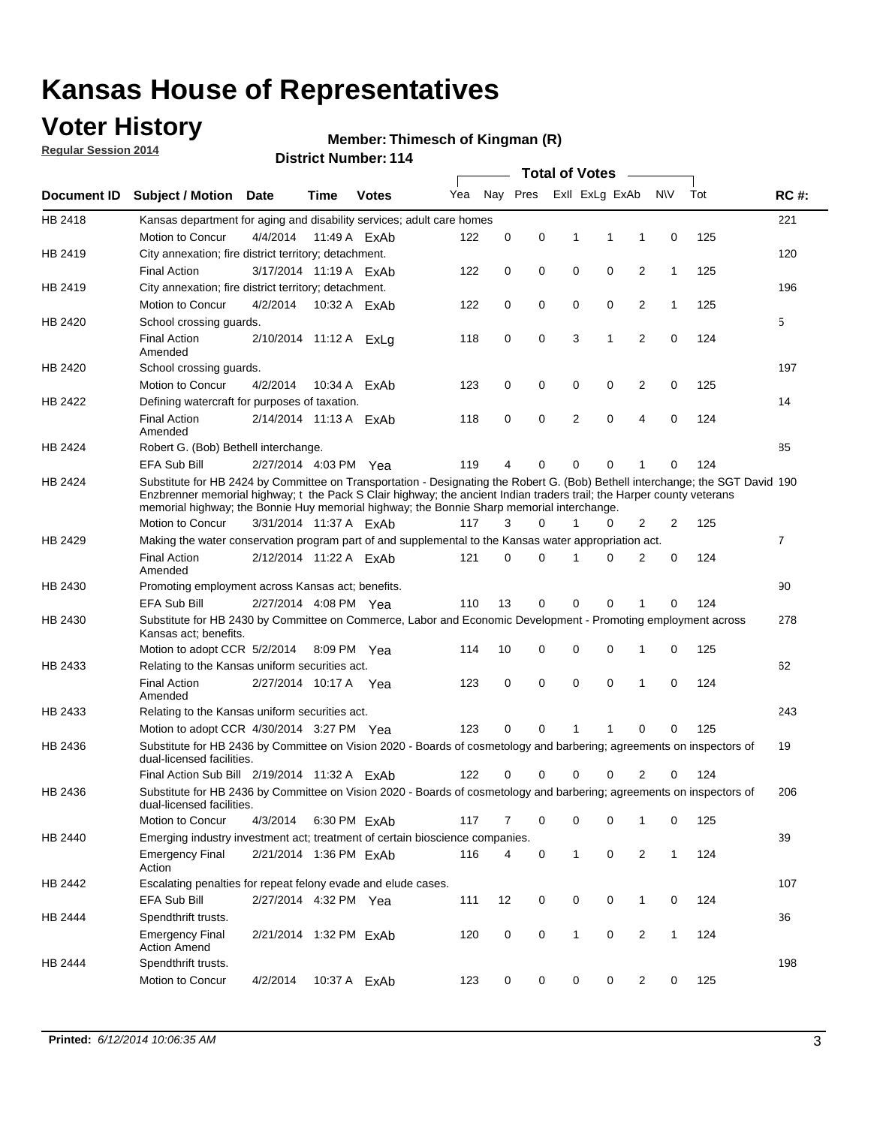### **Voter History**

**Regular Session 2014**

#### **Thimesch of Kingman (R)**

|             |                                                                                                                                                                                                                                                                                                                                                      |                        |              | דו ו <sub>י</sub> שעוווער ועוודער |     |             |          | <b>Total of Votes</b> |                |                |              |     |                |
|-------------|------------------------------------------------------------------------------------------------------------------------------------------------------------------------------------------------------------------------------------------------------------------------------------------------------------------------------------------------------|------------------------|--------------|-----------------------------------|-----|-------------|----------|-----------------------|----------------|----------------|--------------|-----|----------------|
| Document ID | <b>Subject / Motion Date</b>                                                                                                                                                                                                                                                                                                                         |                        | Time         | <b>Votes</b>                      | Yea |             | Nay Pres |                       | Exll ExLg ExAb |                | <b>NV</b>    | Tot | <b>RC#:</b>    |
| HB 2418     | Kansas department for aging and disability services; adult care homes                                                                                                                                                                                                                                                                                |                        |              |                                   |     |             |          |                       |                |                |              |     | 221            |
|             | Motion to Concur                                                                                                                                                                                                                                                                                                                                     | 4/4/2014               | 11:49 A FxAb |                                   | 122 | 0           | 0        | 1                     | 1              | 1              | 0            | 125 |                |
| HB 2419     | City annexation; fire district territory; detachment.                                                                                                                                                                                                                                                                                                |                        |              |                                   |     |             |          |                       |                |                |              |     | 120            |
|             | <b>Final Action</b>                                                                                                                                                                                                                                                                                                                                  | 3/17/2014 11:19 A ExAb |              |                                   | 122 | 0           | 0        | $\mathbf 0$           | 0              | 2              | $\mathbf{1}$ | 125 |                |
| HB 2419     | City annexation; fire district territory; detachment.                                                                                                                                                                                                                                                                                                |                        |              |                                   |     |             |          |                       |                |                |              |     | 196            |
|             | Motion to Concur                                                                                                                                                                                                                                                                                                                                     | 4/2/2014               |              | 10:32 A ExAb                      | 122 | 0           | 0        | $\mathbf 0$           | 0              | 2              | $\mathbf{1}$ | 125 |                |
| HB 2420     | School crossing guards.                                                                                                                                                                                                                                                                                                                              |                        |              |                                   |     |             |          |                       |                |                |              |     | 5              |
|             | <b>Final Action</b><br>Amended                                                                                                                                                                                                                                                                                                                       | 2/10/2014 11:12 A ExLg |              |                                   | 118 | 0           | 0        | 3                     | 1              | 2              | 0            | 124 |                |
| HB 2420     | School crossing guards.                                                                                                                                                                                                                                                                                                                              |                        |              |                                   |     |             |          |                       |                |                |              |     | 197            |
|             | Motion to Concur                                                                                                                                                                                                                                                                                                                                     | 4/2/2014               |              | 10:34 A ExAb                      | 123 | 0           | 0        | 0                     | 0              | 2              | 0            | 125 |                |
| HB 2422     | Defining watercraft for purposes of taxation.                                                                                                                                                                                                                                                                                                        |                        |              |                                   |     |             |          |                       |                |                |              |     | 14             |
|             | <b>Final Action</b><br>Amended                                                                                                                                                                                                                                                                                                                       | 2/14/2014 11:13 A ExAb |              |                                   | 118 | 0           | 0        | 2                     | $\mathbf 0$    | 4              | 0            | 124 |                |
| HB 2424     | Robert G. (Bob) Bethell interchange.                                                                                                                                                                                                                                                                                                                 |                        |              |                                   |     |             |          |                       |                |                |              |     | 85             |
|             | <b>EFA Sub Bill</b>                                                                                                                                                                                                                                                                                                                                  | 2/27/2014 4:03 PM Yea  |              |                                   | 119 | 4           | 0        | 0                     | $\mathbf 0$    | 1              | $\Omega$     | 124 |                |
| HB 2424     | Substitute for HB 2424 by Committee on Transportation - Designating the Robert G. (Bob) Bethell interchange; the SGT David 190<br>Enzbrenner memorial highway; t the Pack S Clair highway; the ancient Indian traders trail; the Harper county veterans<br>memorial highway; the Bonnie Huy memorial highway; the Bonnie Sharp memorial interchange. |                        |              |                                   |     |             |          |                       |                |                |              |     |                |
|             | Motion to Concur                                                                                                                                                                                                                                                                                                                                     | 3/31/2014 11:37 A ExAb |              |                                   | 117 | 3           | 0        | 1                     | 0              | 2              | 2            | 125 |                |
| HB 2429     | Making the water conservation program part of and supplemental to the Kansas water appropriation act.                                                                                                                                                                                                                                                |                        |              |                                   |     |             |          |                       |                |                |              |     | $\overline{7}$ |
|             | <b>Final Action</b><br>Amended                                                                                                                                                                                                                                                                                                                       | 2/12/2014 11:22 A ExAb |              |                                   | 121 | $\mathbf 0$ | 0        | 1                     | $\Omega$       | $\overline{2}$ | 0            | 124 |                |
| HB 2430     | Promoting employment across Kansas act; benefits.                                                                                                                                                                                                                                                                                                    |                        |              |                                   |     |             |          |                       |                |                |              |     | 90             |
|             | EFA Sub Bill                                                                                                                                                                                                                                                                                                                                         | 2/27/2014 4:08 PM Yea  |              |                                   | 110 | 13          | 0        | 0                     | 0              | 1              | $\Omega$     | 124 |                |
| HB 2430     | Substitute for HB 2430 by Committee on Commerce, Labor and Economic Development - Promoting employment across<br>Kansas act; benefits.                                                                                                                                                                                                               |                        |              |                                   |     |             |          |                       |                |                |              |     | 278            |
|             | Motion to adopt CCR 5/2/2014                                                                                                                                                                                                                                                                                                                         |                        | 8:09 PM Yea  |                                   | 114 | 10          | 0        | 0                     | $\mathbf 0$    | 1              | 0            | 125 |                |
| HB 2433     | Relating to the Kansas uniform securities act.                                                                                                                                                                                                                                                                                                       |                        |              |                                   |     |             |          |                       |                |                |              |     | 62             |
|             | <b>Final Action</b><br>Amended                                                                                                                                                                                                                                                                                                                       | 2/27/2014 10:17 A Yea  |              |                                   | 123 | 0           | 0        | $\mathbf 0$           | $\mathbf 0$    | 1              | 0            | 124 |                |
| HB 2433     | Relating to the Kansas uniform securities act.                                                                                                                                                                                                                                                                                                       |                        |              |                                   |     |             |          |                       |                |                |              |     | 243            |
|             | Motion to adopt CCR 4/30/2014 3:27 PM Yea                                                                                                                                                                                                                                                                                                            |                        |              |                                   | 123 | 0           | 0        | 1                     | 1              | 0              | 0            | 125 |                |
| HB 2436     | Substitute for HB 2436 by Committee on Vision 2020 - Boards of cosmetology and barbering; agreements on inspectors of<br>dual-licensed facilities.                                                                                                                                                                                                   |                        |              |                                   |     |             |          |                       |                |                |              |     | 19             |
|             | Final Action Sub Bill 2/19/2014 11:32 A ExAb                                                                                                                                                                                                                                                                                                         |                        |              |                                   | 122 | 0           | 0        | 0                     | $\Omega$       | 2              | 0            | 124 |                |
| HB 2436     | Substitute for HB 2436 by Committee on Vision 2020 - Boards of cosmetology and barbering; agreements on inspectors of<br>dual-licensed facilities.                                                                                                                                                                                                   |                        |              |                                   |     |             |          |                       |                |                |              |     | 206            |
|             | Motion to Concur                                                                                                                                                                                                                                                                                                                                     | 4/3/2014               |              | 6:30 PM ExAb                      | 117 | 7           | 0        | 0                     | 0              | 1              | 0            | 125 |                |
| HB 2440     | Emerging industry investment act; treatment of certain bioscience companies.                                                                                                                                                                                                                                                                         |                        |              |                                   |     |             |          |                       |                |                |              |     | 39             |
|             | <b>Emergency Final</b><br>Action                                                                                                                                                                                                                                                                                                                     | 2/21/2014 1:36 PM ExAb |              |                                   | 116 | 4           | 0        | 1                     | 0              | 2              | $\mathbf{1}$ | 124 |                |
| HB 2442     | Escalating penalties for repeat felony evade and elude cases.                                                                                                                                                                                                                                                                                        |                        |              |                                   |     |             |          |                       |                |                |              |     | 107            |
|             | EFA Sub Bill                                                                                                                                                                                                                                                                                                                                         | 2/27/2014 4:32 PM Yea  |              |                                   | 111 | 12          | 0        | 0                     | 0              | $\mathbf{1}$   | 0            | 124 |                |
| HB 2444     | Spendthrift trusts.                                                                                                                                                                                                                                                                                                                                  |                        |              |                                   |     |             |          |                       |                |                |              |     | 36             |
|             | <b>Emergency Final</b><br><b>Action Amend</b>                                                                                                                                                                                                                                                                                                        | 2/21/2014 1:32 PM ExAb |              |                                   | 120 | 0           | 0        | 1                     | 0              | 2              | $\mathbf{1}$ | 124 |                |
| HB 2444     | Spendthrift trusts.                                                                                                                                                                                                                                                                                                                                  |                        |              |                                   |     |             |          |                       |                |                |              |     | 198            |
|             | Motion to Concur                                                                                                                                                                                                                                                                                                                                     | 4/2/2014               |              | 10:37 A ExAb                      | 123 | 0           | 0        | 0                     | 0              | 2              | 0            | 125 |                |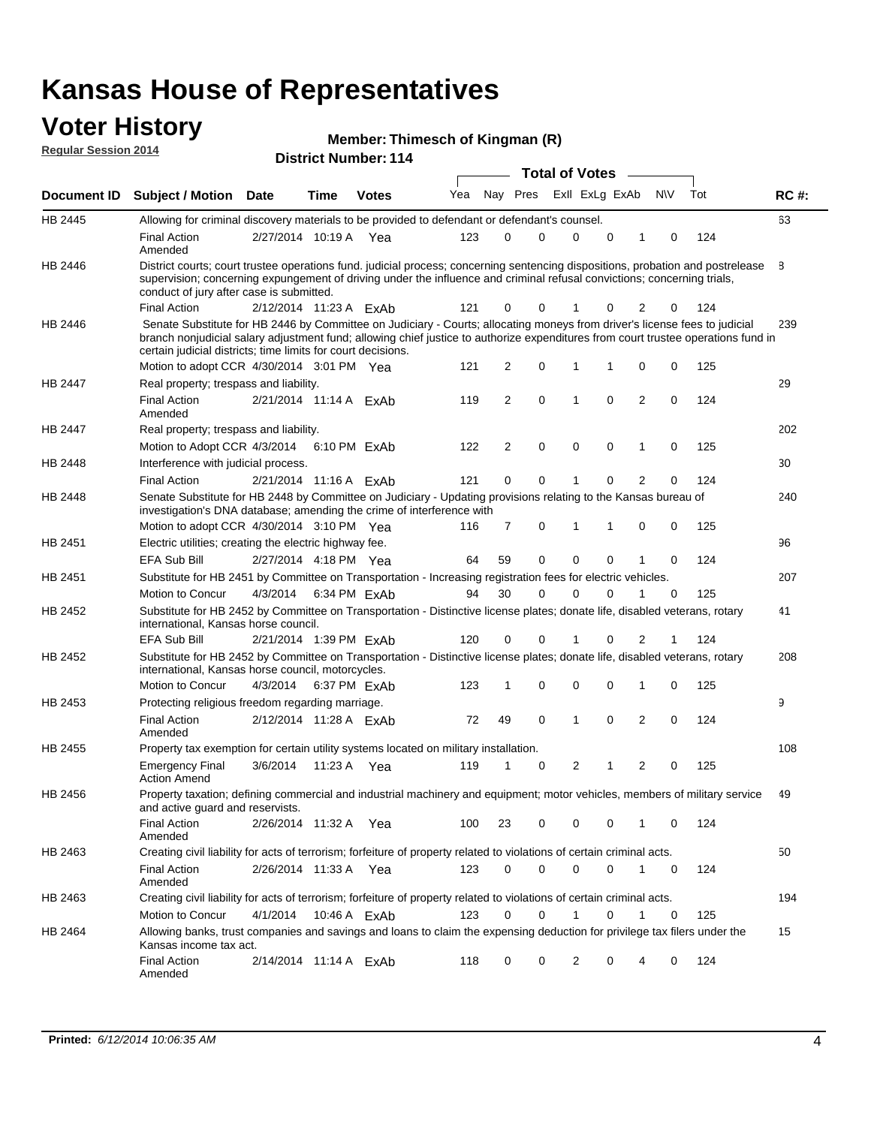#### **Voter History Regular Session 2014**

|  |  | Member: Thimesch of Kingman (R) |  |
|--|--|---------------------------------|--|
|--|--|---------------------------------|--|

|                    |                                                                                                                                                                                                                                                                                                                                 |                        |      |              |     |    |          |             | <b>Total of Votes</b> |   |                |             |     |             |
|--------------------|---------------------------------------------------------------------------------------------------------------------------------------------------------------------------------------------------------------------------------------------------------------------------------------------------------------------------------|------------------------|------|--------------|-----|----|----------|-------------|-----------------------|---|----------------|-------------|-----|-------------|
| <b>Document ID</b> | <b>Subject / Motion Date</b>                                                                                                                                                                                                                                                                                                    |                        | Time | <b>Votes</b> | Yea |    | Nay Pres |             | Exll ExLg ExAb        |   |                | <b>NV</b>   | Tot | <b>RC#:</b> |
| HB 2445            | Allowing for criminal discovery materials to be provided to defendant or defendant's counsel.                                                                                                                                                                                                                                   |                        |      |              |     |    |          |             |                       |   |                |             |     | 63          |
|                    | <b>Final Action</b><br>Amended                                                                                                                                                                                                                                                                                                  | 2/27/2014 10:19 A      |      | Yea          | 123 | 0  | 0        |             | $\Omega$              | 0 | 1              | 0           | 124 |             |
| HB 2446            | District courts; court trustee operations fund. judicial process; concerning sentencing dispositions, probation and postrelease<br>supervision; concerning expungement of driving under the influence and criminal refusal convictions; concerning trials,<br>conduct of jury after case is submitted.                          |                        |      |              |     |    |          |             |                       |   |                |             |     | 8           |
|                    | <b>Final Action</b>                                                                                                                                                                                                                                                                                                             | 2/12/2014 11:23 A ExAb |      |              | 121 | 0  |          | 0           | 1                     | 0 | 2              | 0           | 124 |             |
| HB 2446            | Senate Substitute for HB 2446 by Committee on Judiciary - Courts; allocating moneys from driver's license fees to judicial<br>branch nonjudicial salary adjustment fund; allowing chief justice to authorize expenditures from court trustee operations fund in<br>certain judicial districts; time limits for court decisions. |                        |      |              |     |    |          |             |                       |   |                |             |     | 239         |
|                    | Motion to adopt CCR 4/30/2014 3:01 PM Yea                                                                                                                                                                                                                                                                                       |                        |      |              | 121 | 2  |          | 0           | 1                     | 1 | 0              | 0           | 125 |             |
| <b>HB 2447</b>     | Real property; trespass and liability.                                                                                                                                                                                                                                                                                          |                        |      |              |     |    |          |             |                       |   |                |             |     | 29          |
|                    | <b>Final Action</b><br>Amended                                                                                                                                                                                                                                                                                                  | 2/21/2014 11:14 A ExAb |      |              | 119 | 2  |          | $\mathbf 0$ | 1                     | 0 | $\overline{2}$ | 0           | 124 |             |
| HB 2447            | Real property; trespass and liability.                                                                                                                                                                                                                                                                                          |                        |      |              |     |    |          |             |                       |   |                |             |     | 202         |
|                    | Motion to Adopt CCR 4/3/2014                                                                                                                                                                                                                                                                                                    |                        |      | 6:10 PM ExAb | 122 | 2  |          | 0           | $\mathbf 0$           | 0 | 1              | 0           | 125 |             |
| HB 2448            | Interference with judicial process.                                                                                                                                                                                                                                                                                             |                        |      |              |     |    |          |             |                       |   |                |             |     | 30          |
|                    | <b>Final Action</b>                                                                                                                                                                                                                                                                                                             | 2/21/2014 11:16 A ExAb |      |              | 121 | 0  |          | 0           | 1                     | 0 | $\overline{2}$ | 0           | 124 |             |
| HB 2448            | Senate Substitute for HB 2448 by Committee on Judiciary - Updating provisions relating to the Kansas bureau of<br>investigation's DNA database; amending the crime of interference with                                                                                                                                         |                        |      |              |     |    |          |             |                       |   |                |             |     | 240         |
|                    | Motion to adopt CCR 4/30/2014 3:10 PM Yea                                                                                                                                                                                                                                                                                       |                        |      |              | 116 | 7  |          | 0           | 1                     | 1 | $\mathbf 0$    | 0           | 125 |             |
| HB 2451            | Electric utilities; creating the electric highway fee.                                                                                                                                                                                                                                                                          |                        |      |              |     |    |          |             |                       |   |                |             |     | 96          |
|                    | <b>EFA Sub Bill</b>                                                                                                                                                                                                                                                                                                             | 2/27/2014 4:18 PM Yea  |      |              | 64  | 59 | 0        |             | $\Omega$              | 0 | 1              | 0           | 124 |             |
| HB 2451            | Substitute for HB 2451 by Committee on Transportation - Increasing registration fees for electric vehicles.                                                                                                                                                                                                                     |                        |      |              |     |    |          |             |                       |   |                |             |     | 207         |
|                    | Motion to Concur                                                                                                                                                                                                                                                                                                                | 4/3/2014               |      | 6:34 PM ExAb | 94  | 30 | 0        |             | $\Omega$              | 0 |                | 0           | 125 |             |
| HB 2452            | Substitute for HB 2452 by Committee on Transportation - Distinctive license plates; donate life, disabled veterans, rotary<br>international, Kansas horse council.                                                                                                                                                              |                        |      |              |     |    |          |             |                       |   |                |             |     | 41          |
|                    | <b>EFA Sub Bill</b>                                                                                                                                                                                                                                                                                                             | 2/21/2014 1:39 PM ExAb |      |              | 120 | 0  | 0        |             |                       | 0 | 2              | 1           | 124 |             |
| HB 2452            | Substitute for HB 2452 by Committee on Transportation - Distinctive license plates; donate life, disabled veterans, rotary<br>international, Kansas horse council, motorcycles.                                                                                                                                                 |                        |      |              |     |    |          |             |                       |   |                |             |     | 208         |
|                    | Motion to Concur                                                                                                                                                                                                                                                                                                                | 4/3/2014               |      | 6:37 PM ExAb | 123 | 1  |          | 0           | $\mathbf 0$           | 0 | 1              | 0           | 125 |             |
| HB 2453            | Protecting religious freedom regarding marriage.                                                                                                                                                                                                                                                                                |                        |      |              |     |    |          |             |                       |   |                |             |     | 9           |
|                    | <b>Final Action</b><br>Amended                                                                                                                                                                                                                                                                                                  | 2/12/2014 11:28 A ExAb |      |              | 72  | 49 |          | 0           | 1                     | 0 | $\overline{2}$ | 0           | 124 |             |
| HB 2455            | Property tax exemption for certain utility systems located on military installation.                                                                                                                                                                                                                                            |                        |      |              |     |    |          |             |                       |   |                |             |     | 108         |
|                    | <b>Emergency Final</b><br><b>Action Amend</b>                                                                                                                                                                                                                                                                                   | 3/6/2014               |      | 11:23 A Yea  | 119 | 1  | 0        |             | 2                     | 1 | $\overline{2}$ | $\mathbf 0$ | 125 |             |
| HB 2456            | Property taxation; defining commercial and industrial machinery and equipment; motor vehicles, members of military service<br>and active guard and reservists.                                                                                                                                                                  |                        |      |              |     |    |          |             |                       |   |                |             |     | 49          |
|                    | <b>Final Action</b><br>Amended                                                                                                                                                                                                                                                                                                  | 2/26/2014 11:32 A Yea  |      |              | 100 | 23 |          | 0           | 0                     | 0 | 1              | 0           | 124 |             |
| HB 2463            | Creating civil liability for acts of terrorism; forfeiture of property related to violations of certain criminal acts.                                                                                                                                                                                                          |                        |      |              |     |    |          |             |                       |   |                |             |     | 50          |
|                    | <b>Final Action</b><br>Amended                                                                                                                                                                                                                                                                                                  | 2/26/2014 11:33 A Yea  |      |              | 123 | 0  |          | 0           | $\mathbf 0$           | 0 | $\mathbf{1}$   | 0           | 124 |             |
| HB 2463            | Creating civil liability for acts of terrorism; forfeiture of property related to violations of certain criminal acts.                                                                                                                                                                                                          |                        |      |              |     |    |          |             |                       |   |                |             |     | 194         |
|                    | Motion to Concur                                                                                                                                                                                                                                                                                                                | 4/1/2014               |      | 10:46 A ExAb | 123 | 0  |          | 0           | $\mathbf{1}$          | 0 | 1              | 0           | 125 |             |
| HB 2464            | Allowing banks, trust companies and savings and loans to claim the expensing deduction for privilege tax filers under the<br>Kansas income tax act.                                                                                                                                                                             |                        |      |              |     |    |          |             |                       |   |                |             |     | 15          |
|                    | <b>Final Action</b><br>Amended                                                                                                                                                                                                                                                                                                  | 2/14/2014 11:14 A ExAb |      |              | 118 | 0  |          | 0           | 2                     | 0 |                | 0           | 124 |             |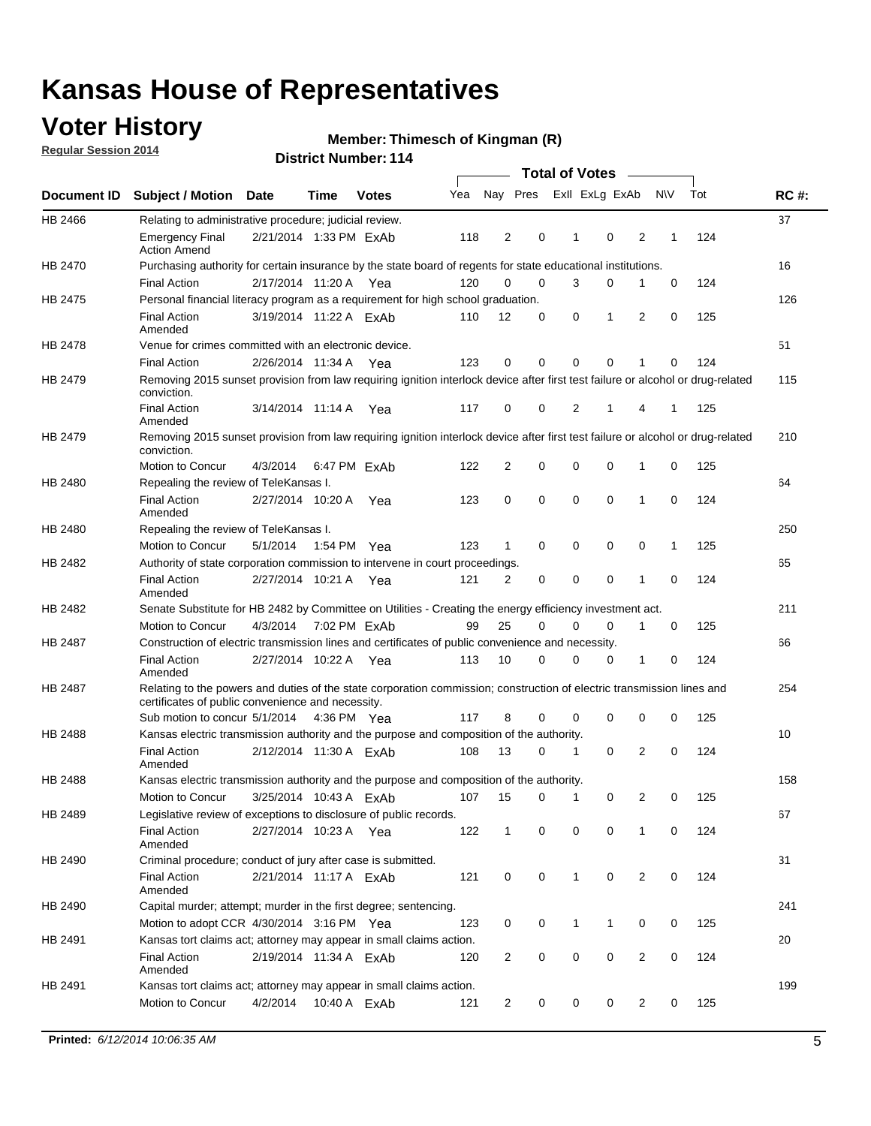## **Voter History**

**Regular Session 2014**

#### **Thimesch of Kingman (R)**

|                |                                                                                                                                                                             |                        |      |              |     |                |          |             | <b>Total of Votes</b> |             | $\frac{1}{2}$  |             |     |             |
|----------------|-----------------------------------------------------------------------------------------------------------------------------------------------------------------------------|------------------------|------|--------------|-----|----------------|----------|-------------|-----------------------|-------------|----------------|-------------|-----|-------------|
|                | Document ID Subject / Motion                                                                                                                                                | Date                   | Time | <b>Votes</b> | Yea |                | Nay Pres |             | Exll ExLg ExAb        |             |                | <b>NV</b>   | Tot | <b>RC#:</b> |
| HB 2466        | Relating to administrative procedure; judicial review.                                                                                                                      |                        |      |              |     |                |          |             |                       |             |                |             |     | 37          |
|                | <b>Emergency Final</b><br><b>Action Amend</b>                                                                                                                               | 2/21/2014 1:33 PM ExAb |      |              | 118 | $\overline{2}$ |          | 0           | 1                     | 0           | 2              | 1           | 124 |             |
| HB 2470        | Purchasing authority for certain insurance by the state board of regents for state educational institutions.                                                                |                        |      |              |     |                |          |             |                       |             |                |             |     | 16          |
|                | <b>Final Action</b>                                                                                                                                                         | 2/17/2014 11:20 A Yea  |      |              | 120 | $\mathbf 0$    |          | $\mathbf 0$ | 3                     | 0           | 1              | 0           | 124 |             |
| HB 2475        | Personal financial literacy program as a requirement for high school graduation.                                                                                            |                        |      |              |     |                |          |             |                       |             |                |             |     | 126         |
|                | <b>Final Action</b><br>Amended                                                                                                                                              | 3/19/2014 11:22 A ExAb |      |              | 110 | 12             |          | 0           | 0                     | 1           | $\overline{2}$ | 0           | 125 |             |
| <b>HB 2478</b> | Venue for crimes committed with an electronic device.                                                                                                                       |                        |      |              |     |                |          |             |                       |             |                |             |     | 51          |
|                | <b>Final Action</b>                                                                                                                                                         | 2/26/2014 11:34 A Yea  |      |              | 123 | 0              |          | 0           | $\mathbf 0$           | $\mathbf 0$ | 1              | 0           | 124 |             |
| HB 2479        | Removing 2015 sunset provision from law requiring ignition interlock device after first test failure or alcohol or drug-related<br>conviction.                              |                        |      |              |     |                |          |             |                       |             |                |             |     | 115         |
|                | <b>Final Action</b><br>Amended                                                                                                                                              | 3/14/2014 11:14 A      |      | Yea          | 117 | 0              |          | 0           | 2                     | 1           | 4              | 1           | 125 |             |
| HB 2479        | Removing 2015 sunset provision from law requiring ignition interlock device after first test failure or alcohol or drug-related<br>conviction.                              |                        |      |              |     |                |          |             |                       |             |                |             |     | 210         |
|                | Motion to Concur                                                                                                                                                            | 4/3/2014               |      | 6:47 PM FxAb | 122 | $\overline{2}$ |          | $\mathbf 0$ | 0                     | $\mathbf 0$ | 1              | 0           | 125 |             |
| HB 2480        | Repealing the review of TeleKansas I.                                                                                                                                       |                        |      |              |     |                |          |             |                       |             |                |             |     | 64          |
|                | <b>Final Action</b><br>Amended                                                                                                                                              | 2/27/2014 10:20 A      |      | Yea          | 123 | 0              |          | $\mathbf 0$ | $\mathbf 0$           | $\mathbf 0$ | 1              | 0           | 124 |             |
| HB 2480        | Repealing the review of TeleKansas I.                                                                                                                                       |                        |      |              |     |                |          |             |                       |             |                |             |     | 250         |
|                | Motion to Concur                                                                                                                                                            | 5/1/2014               |      | 1:54 PM Yea  | 123 | 1              |          | 0           | 0                     | 0           | 0              | 1           | 125 |             |
| HB 2482        | Authority of state corporation commission to intervene in court proceedings.                                                                                                |                        |      |              |     |                |          |             |                       |             |                |             |     | 65          |
|                | <b>Final Action</b><br>Amended                                                                                                                                              | 2/27/2014 10:21 A      |      | Yea          | 121 | 2              |          | 0           | 0                     | 0           | 1              | $\mathbf 0$ | 124 |             |
| HB 2482        | Senate Substitute for HB 2482 by Committee on Utilities - Creating the energy efficiency investment act.                                                                    |                        |      |              |     |                |          |             |                       |             |                |             |     | 211         |
|                | Motion to Concur                                                                                                                                                            | 4/3/2014 7:02 PM ExAb  |      |              | 99  | 25             |          | $\mathbf 0$ | $\mathbf 0$           | 0           | 1              | 0           | 125 |             |
| HB 2487        | Construction of electric transmission lines and certificates of public convenience and necessity.                                                                           |                        |      |              |     |                |          |             |                       |             |                |             |     | 66          |
|                | <b>Final Action</b><br>Amended                                                                                                                                              | 2/27/2014 10:22 A Yea  |      |              | 113 | 10             |          | 0           | $\mathbf 0$           | 0           | 1              | 0           | 124 |             |
| HB 2487        | Relating to the powers and duties of the state corporation commission; construction of electric transmission lines and<br>certificates of public convenience and necessity. |                        |      |              |     |                |          |             |                       |             |                |             |     | 254         |
|                | Sub motion to concur 5/1/2014                                                                                                                                               |                        |      | 4:36 PM Yea  | 117 | 8              |          | 0           | 0                     | 0           | 0              | 0           | 125 |             |
| HB 2488        | Kansas electric transmission authority and the purpose and composition of the authority.                                                                                    |                        |      |              |     |                |          |             |                       |             |                |             |     | 10          |
|                | <b>Final Action</b><br>Amended                                                                                                                                              | 2/12/2014 11:30 A FxAb |      |              | 108 | 13             |          | 0           | 1                     | 0           | 2              | 0           | 124 |             |
| HB 2488        | Kansas electric transmission authority and the purpose and composition of the authority.                                                                                    |                        |      |              |     |                |          |             |                       |             |                |             |     | 158         |
|                | Motion to Concur                                                                                                                                                            | 3/25/2014 10:43 A ExAb |      |              | 107 | 15             |          | 0           | $\mathbf 1$           | 0           | 2              | 0           | 125 |             |
| HB 2489        | Legislative review of exceptions to disclosure of public records.                                                                                                           |                        |      |              |     |                |          |             |                       |             |                |             |     | 67          |
|                | <b>Final Action</b><br>Amended                                                                                                                                              | 2/27/2014 10:23 A Yea  |      |              | 122 | $\mathbf{1}$   |          | 0           | 0                     | $\mathbf 0$ | 1              | 0           | 124 |             |
| HB 2490        | Criminal procedure; conduct of jury after case is submitted.                                                                                                                |                        |      |              |     |                |          |             |                       |             |                |             |     | 31          |
|                | <b>Final Action</b><br>Amended                                                                                                                                              | 2/21/2014 11:17 A ExAb |      |              | 121 | 0              |          | 0           | $\mathbf{1}$          | 0           | 2              | 0           | 124 |             |
| HB 2490        | Capital murder; attempt; murder in the first degree; sentencing.                                                                                                            |                        |      |              |     |                |          |             |                       |             |                |             |     | 241         |
|                | Motion to adopt CCR 4/30/2014 3:16 PM Yea                                                                                                                                   |                        |      |              | 123 | 0              |          | 0           | $\mathbf{1}$          | 1           | 0              | 0           | 125 |             |
| HB 2491        | Kansas tort claims act; attorney may appear in small claims action.                                                                                                         |                        |      |              |     |                |          |             |                       |             |                |             |     | 20          |
|                | <b>Final Action</b><br>Amended                                                                                                                                              | 2/19/2014 11:34 A ExAb |      |              | 120 | $\overline{c}$ |          | 0           | 0                     | 0           | $\overline{c}$ | 0           | 124 |             |
| HB 2491        | Kansas tort claims act; attorney may appear in small claims action.                                                                                                         |                        |      |              |     |                |          |             |                       |             |                |             |     | 199         |
|                | Motion to Concur                                                                                                                                                            | 4/2/2014               |      | 10:40 A ExAb | 121 | 2              |          | 0           | 0                     | 0           | $\overline{2}$ | 0           | 125 |             |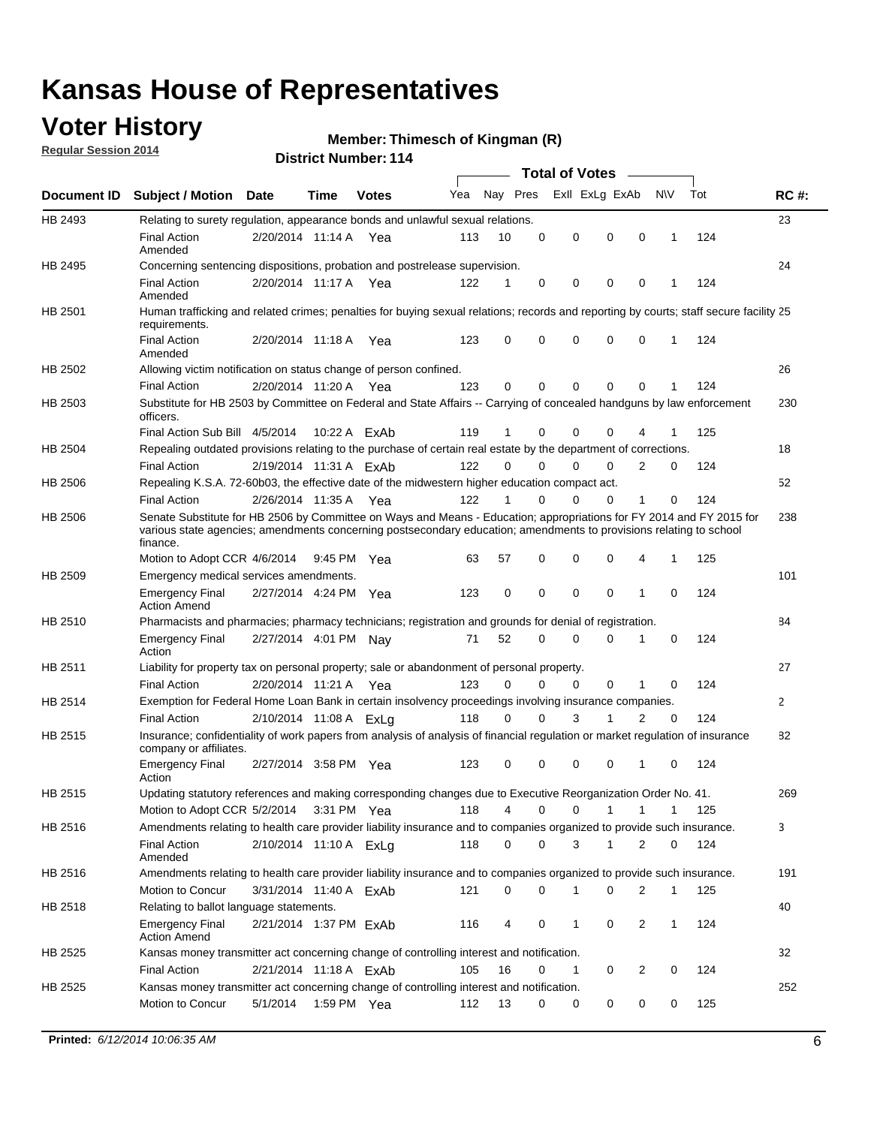### **Voter History**

**Regular Session 2014**

#### **Thimesch of Kingman (R)**

|                    |                                                                                                                                                                                                                                                        |                        |             |              |     |          |          | <b>Total of Votes</b> |              |                |              |     |              |
|--------------------|--------------------------------------------------------------------------------------------------------------------------------------------------------------------------------------------------------------------------------------------------------|------------------------|-------------|--------------|-----|----------|----------|-----------------------|--------------|----------------|--------------|-----|--------------|
| <b>Document ID</b> | <b>Subject / Motion Date</b>                                                                                                                                                                                                                           |                        | Time        | <b>Votes</b> | Yea | Nay Pres |          | Exll ExLg ExAb        |              |                | N\V          | Tot | <b>RC#:</b>  |
| HB 2493            | Relating to surety regulation, appearance bonds and unlawful sexual relations.                                                                                                                                                                         |                        |             |              |     |          |          |                       |              |                |              |     | 23           |
|                    | <b>Final Action</b><br>Amended                                                                                                                                                                                                                         | 2/20/2014 11:14 A      |             | Yea          | 113 | 10       | 0        | 0                     | $\mathbf 0$  | 0              | $\mathbf 1$  | 124 |              |
| HB 2495            | Concerning sentencing dispositions, probation and postrelease supervision.                                                                                                                                                                             |                        |             |              |     |          |          |                       |              |                |              |     | 24           |
|                    | Final Action<br>Amended                                                                                                                                                                                                                                | 2/20/2014 11:17 A Yea  |             |              | 122 | 1        | 0        | 0                     | 0            | $\mathbf 0$    | 1            | 124 |              |
| HB 2501            | Human trafficking and related crimes; penalties for buying sexual relations; records and reporting by courts; staff secure facility 25<br>requirements.                                                                                                |                        |             |              |     |          |          |                       |              |                |              |     |              |
|                    | <b>Final Action</b><br>Amended                                                                                                                                                                                                                         | 2/20/2014 11:18 A Yea  |             |              | 123 | 0        | 0        | 0                     | 0            | $\mathbf 0$    | 1            | 124 |              |
| HB 2502            | Allowing victim notification on status change of person confined.                                                                                                                                                                                      |                        |             |              |     |          |          |                       |              |                |              |     | 26           |
|                    | <b>Final Action</b>                                                                                                                                                                                                                                    | 2/20/2014 11:20 A Yea  |             |              | 123 | 0        | 0        | 0                     | $\Omega$     | $\Omega$       |              | 124 |              |
| HB 2503            | Substitute for HB 2503 by Committee on Federal and State Affairs -- Carrying of concealed handguns by law enforcement<br>officers.                                                                                                                     |                        |             |              |     |          |          |                       |              |                |              |     | 230          |
|                    | Final Action Sub Bill 4/5/2014                                                                                                                                                                                                                         |                        |             | 10:22 A ExAb | 119 |          | 0        | 0                     | 0            | 4              |              | 125 |              |
| HB 2504            | Repealing outdated provisions relating to the purchase of certain real estate by the department of corrections.                                                                                                                                        |                        |             |              |     |          |          |                       |              |                |              |     | 18           |
|                    | <b>Final Action</b>                                                                                                                                                                                                                                    | 2/19/2014 11:31 A ExAb |             |              | 122 | 0        | 0        | 0                     | $\Omega$     | $\overline{2}$ | 0            | 124 |              |
| HB 2506            | Repealing K.S.A. 72-60b03, the effective date of the midwestern higher education compact act.                                                                                                                                                          |                        |             |              |     |          |          |                       |              |                |              |     | 52           |
|                    | <b>Final Action</b>                                                                                                                                                                                                                                    | 2/26/2014 11:35 A Yea  |             |              | 122 |          | 0        | 0                     | 0            | 1              | 0            | 124 |              |
| HB 2506            | Senate Substitute for HB 2506 by Committee on Ways and Means - Education; appropriations for FY 2014 and FY 2015 for<br>various state agencies; amendments concerning postsecondary education; amendments to provisions relating to school<br>finance. |                        |             |              |     |          |          |                       |              |                |              |     | 238          |
|                    | Motion to Adopt CCR 4/6/2014                                                                                                                                                                                                                           |                        | 9:45 PM Yea |              | 63  | 57       | 0        | 0                     | 0            | 4              | 1            | 125 |              |
| HB 2509            | Emergency medical services amendments.                                                                                                                                                                                                                 |                        |             |              |     |          |          |                       |              |                |              |     | 101          |
|                    | <b>Emergency Final</b><br><b>Action Amend</b>                                                                                                                                                                                                          | 2/27/2014 4:24 PM Yea  |             |              | 123 | 0        | 0        | 0                     | 0            | $\mathbf 1$    | 0            | 124 |              |
| HB 2510            | Pharmacists and pharmacies; pharmacy technicians; registration and grounds for denial of registration.                                                                                                                                                 |                        |             |              |     |          |          |                       |              |                |              |     | 84           |
|                    | <b>Emergency Final</b><br>Action                                                                                                                                                                                                                       | 2/27/2014 4:01 PM Nay  |             |              | 71  | 52       | 0        | 0                     | 0            | 1              | 0            | 124 |              |
| HB 2511            | Liability for property tax on personal property; sale or abandonment of personal property.                                                                                                                                                             |                        |             |              |     |          |          |                       |              |                |              |     | 27           |
|                    | <b>Final Action</b>                                                                                                                                                                                                                                    | 2/20/2014 11:21 A      |             | Yea          | 123 | 0        | $\Omega$ | 0                     | 0            | 1              | 0            | 124 |              |
| HB 2514            | Exemption for Federal Home Loan Bank in certain insolvency proceedings involving insurance companies.                                                                                                                                                  |                        |             |              |     |          |          |                       |              |                |              |     | $\mathbf{2}$ |
|                    | <b>Final Action</b>                                                                                                                                                                                                                                    | 2/10/2014 11:08 A ExLg |             |              | 118 | 0        | 0        | 3                     | 1            | $\overline{2}$ | 0            | 124 |              |
| HB 2515            | Insurance; confidentiality of work papers from analysis of analysis of financial regulation or market regulation of insurance<br>company or affiliates.                                                                                                |                        |             |              |     |          |          |                       |              |                |              |     | 82           |
|                    | <b>Emergency Final</b><br>Action                                                                                                                                                                                                                       | 2/27/2014 3:58 PM Yea  |             |              | 123 | 0        | 0        | 0                     | 0            | -1             | 0            | 124 |              |
| HB 2515            | Updating statutory references and making corresponding changes due to Executive Reorganization Order No. 41.                                                                                                                                           |                        |             |              |     |          |          |                       |              |                |              |     | 269          |
|                    | Motion to Adopt CCR 5/2/2014 3:31 PM Yea                                                                                                                                                                                                               |                        |             |              | 118 | 4        | 0        | 0                     | $\mathbf{1}$ | $\mathbf{1}$   | $\mathbf{1}$ | 125 |              |
| HB 2516            | Amendments relating to health care provider liability insurance and to companies organized to provide such insurance.                                                                                                                                  |                        |             |              |     |          |          |                       |              |                |              |     | 3            |
|                    | <b>Final Action</b><br>Amended                                                                                                                                                                                                                         | 2/10/2014 11:10 A ExLa |             |              | 118 | 0        | 0        | 3                     | $\mathbf{1}$ | 2              | 0            | 124 |              |
| HB 2516            | Amendments relating to health care provider liability insurance and to companies organized to provide such insurance.                                                                                                                                  |                        |             |              |     |          |          |                       |              |                |              |     | 191          |
|                    | Motion to Concur                                                                                                                                                                                                                                       | 3/31/2014 11:40 A ExAb |             |              | 121 | 0        | 0        | 1                     | 0            | 2              | $\mathbf{1}$ | 125 |              |
| HB 2518            | Relating to ballot language statements.                                                                                                                                                                                                                |                        |             |              |     |          |          |                       |              |                |              |     | 40           |
|                    | <b>Emergency Final</b><br><b>Action Amend</b>                                                                                                                                                                                                          | 2/21/2014 1:37 PM ExAb |             |              | 116 | 4        | 0        | 1                     | 0            | 2              | $\mathbf{1}$ | 124 |              |
| HB 2525            | Kansas money transmitter act concerning change of controlling interest and notification.                                                                                                                                                               |                        |             |              |     |          |          |                       |              |                |              |     | 32           |
|                    | <b>Final Action</b>                                                                                                                                                                                                                                    | 2/21/2014 11:18 A ExAb |             |              | 105 | 16       | 0        | 1                     | 0            | 2              | 0            | 124 |              |
| HB 2525            | Kansas money transmitter act concerning change of controlling interest and notification.                                                                                                                                                               |                        |             |              |     |          |          |                       |              |                |              |     | 252          |
|                    | Motion to Concur                                                                                                                                                                                                                                       | 5/1/2014               |             | 1:59 PM Yea  | 112 | 13       | 0        | 0                     | 0            | 0              | 0            | 125 |              |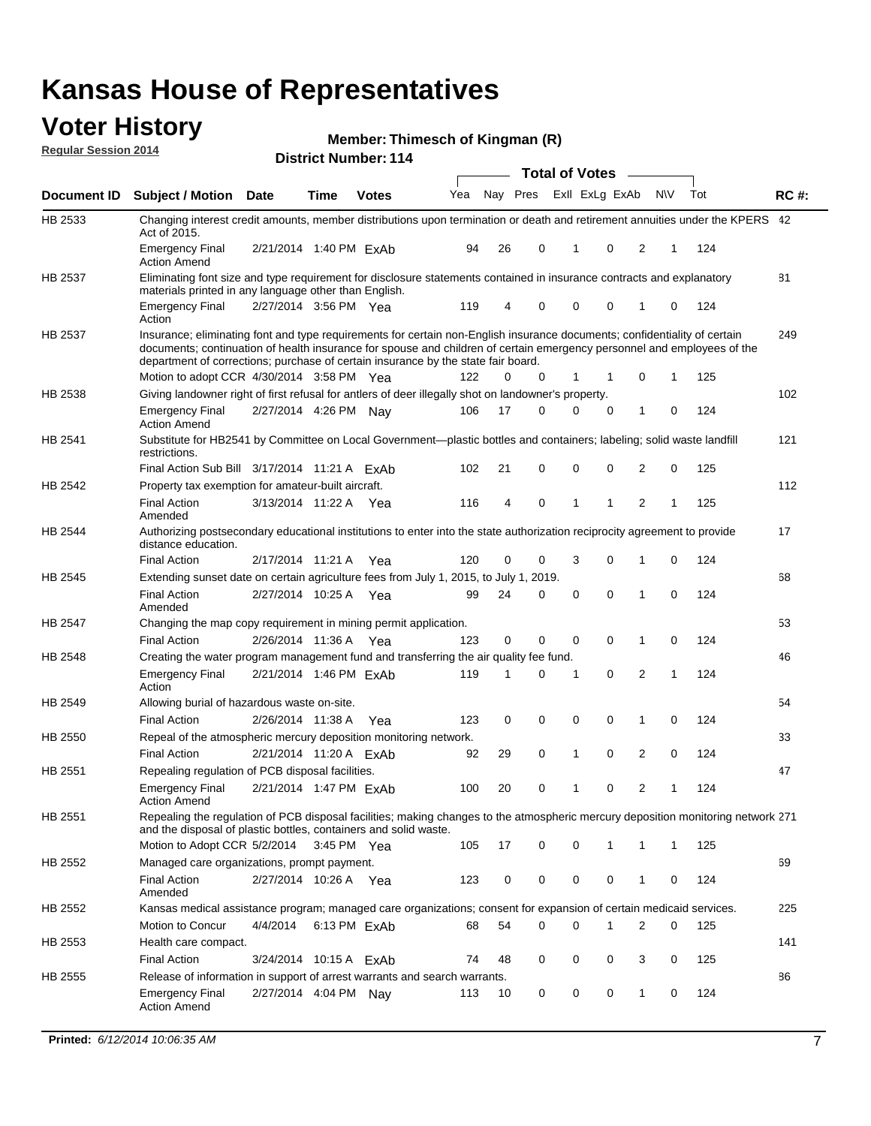### **Voter History**

**Regular Session 2014**

#### **Thimesch of Kingman (R)**

|                |                                                                                                                                                                                                                                                                                                                                           |                        |             |              |     |    |          | <b>Total of Votes</b> |             |                |           |     |             |
|----------------|-------------------------------------------------------------------------------------------------------------------------------------------------------------------------------------------------------------------------------------------------------------------------------------------------------------------------------------------|------------------------|-------------|--------------|-----|----|----------|-----------------------|-------------|----------------|-----------|-----|-------------|
| Document ID    | <b>Subject / Motion Date</b>                                                                                                                                                                                                                                                                                                              |                        | <b>Time</b> | <b>Votes</b> | Yea |    | Nay Pres | Exll ExLg ExAb        |             |                | <b>NV</b> | Tot | <b>RC#:</b> |
| HB 2533        | Changing interest credit amounts, member distributions upon termination or death and retirement annuities under the KPERS 42<br>Act of 2015.                                                                                                                                                                                              |                        |             |              |     |    |          |                       |             |                |           |     |             |
|                | <b>Emergency Final</b><br><b>Action Amend</b>                                                                                                                                                                                                                                                                                             | 2/21/2014 1:40 PM ExAb |             |              | 94  | 26 | 0        | 1                     | $\mathbf 0$ | 2              | 1         | 124 |             |
| HB 2537        | Eliminating font size and type requirement for disclosure statements contained in insurance contracts and explanatory                                                                                                                                                                                                                     |                        |             |              |     |    |          |                       |             |                |           |     | 81          |
|                | materials printed in any language other than English.<br><b>Emergency Final</b>                                                                                                                                                                                                                                                           | 2/27/2014 3:56 PM Yea  |             |              | 119 | 4  | 0        | 0                     | 0           | 1              | 0         | 124 |             |
|                | Action                                                                                                                                                                                                                                                                                                                                    |                        |             |              |     |    |          |                       |             |                |           |     |             |
| <b>HB 2537</b> | Insurance; eliminating font and type requirements for certain non-English insurance documents; confidentiality of certain<br>documents; continuation of health insurance for spouse and children of certain emergency personnel and employees of the<br>department of corrections; purchase of certain insurance by the state fair board. |                        |             |              |     |    |          |                       |             |                |           |     | 249         |
|                | Motion to adopt CCR 4/30/2014 3:58 PM Yea                                                                                                                                                                                                                                                                                                 |                        |             |              | 122 | 0  | 0        | 1                     |             | 0              | 1         | 125 |             |
| HB 2538        | Giving landowner right of first refusal for antlers of deer illegally shot on landowner's property.                                                                                                                                                                                                                                       |                        |             |              |     |    |          |                       |             |                |           |     | 102         |
|                | Emergency Final<br><b>Action Amend</b>                                                                                                                                                                                                                                                                                                    | 2/27/2014 4:26 PM Nay  |             |              | 106 | 17 | 0        | 0                     | $\mathbf 0$ | 1              | 0         | 124 |             |
| HB 2541        | Substitute for HB2541 by Committee on Local Government—plastic bottles and containers; labeling; solid waste landfill<br>restrictions.                                                                                                                                                                                                    |                        |             |              |     |    |          |                       |             |                |           |     | 121         |
|                | Final Action Sub Bill 3/17/2014 11:21 A FxAb                                                                                                                                                                                                                                                                                              |                        |             |              | 102 | 21 | 0        | 0                     | $\mathbf 0$ | 2              | 0         | 125 |             |
| HB 2542        | Property tax exemption for amateur-built aircraft.                                                                                                                                                                                                                                                                                        |                        |             |              |     |    |          |                       |             |                |           |     | 112         |
|                | <b>Final Action</b><br>Amended                                                                                                                                                                                                                                                                                                            | 3/13/2014 11:22 A Yea  |             |              | 116 | 4  | 0        | 1                     | 1           | $\overline{2}$ | 1         | 125 |             |
| HB 2544        | Authorizing postsecondary educational institutions to enter into the state authorization reciprocity agreement to provide<br>distance education.                                                                                                                                                                                          |                        |             |              |     |    |          |                       |             |                |           |     | 17          |
|                | <b>Final Action</b>                                                                                                                                                                                                                                                                                                                       | 2/17/2014 11:21 A      |             | Yea          | 120 | 0  | 0        | 3                     | 0           | 1              | 0         | 124 |             |
| HB 2545        | Extending sunset date on certain agriculture fees from July 1, 2015, to July 1, 2019.                                                                                                                                                                                                                                                     |                        |             |              |     |    |          |                       |             |                |           |     | 68          |
|                | <b>Final Action</b><br>Amended                                                                                                                                                                                                                                                                                                            | 2/27/2014 10:25 A Yea  |             |              | 99  | 24 | 0        | $\mathbf 0$           | $\Omega$    | $\mathbf{1}$   | 0         | 124 |             |
| HB 2547        | Changing the map copy requirement in mining permit application.                                                                                                                                                                                                                                                                           |                        |             |              |     |    |          |                       |             |                |           |     | 53          |
|                | <b>Final Action</b>                                                                                                                                                                                                                                                                                                                       | 2/26/2014 11:36 A      |             | Yea          | 123 | 0  | 0        | 0                     | 0           | 1              | 0         | 124 |             |
| HB 2548        | Creating the water program management fund and transferring the air quality fee fund.                                                                                                                                                                                                                                                     |                        |             |              |     |    |          |                       |             |                |           |     | 46          |
|                | <b>Emergency Final</b><br>Action                                                                                                                                                                                                                                                                                                          | 2/21/2014 1:46 PM ExAb |             |              | 119 | 1  | 0        | 1                     | 0           | 2              | 1         | 124 |             |
| HB 2549        | Allowing burial of hazardous waste on-site.                                                                                                                                                                                                                                                                                               |                        |             |              |     |    |          |                       |             |                |           |     | 54          |
|                | <b>Final Action</b>                                                                                                                                                                                                                                                                                                                       | 2/26/2014 11:38 A      |             | Yea          | 123 | 0  | 0        | 0                     | 0           | 1              | 0         | 124 |             |
| HB 2550        | Repeal of the atmospheric mercury deposition monitoring network.                                                                                                                                                                                                                                                                          |                        |             |              |     |    |          |                       |             |                |           |     | 33          |
|                | <b>Final Action</b>                                                                                                                                                                                                                                                                                                                       | 2/21/2014 11:20 A ExAb |             |              | 92  | 29 | 0        | 1                     | 0           | 2              | 0         | 124 |             |
| HB 2551        | Repealing regulation of PCB disposal facilities.                                                                                                                                                                                                                                                                                          |                        |             |              |     |    |          |                       |             |                |           |     | 47          |
|                | <b>Emergency Final</b><br>Action Amend                                                                                                                                                                                                                                                                                                    | 2/21/2014 1:47 PM ExAb |             |              | 100 | 20 | 0        | 1                     | 0           | 2              | 1         | 124 |             |
| HB 2551        | Repealing the regulation of PCB disposal facilities; making changes to the atmospheric mercury deposition monitoring network 271<br>and the disposal of plastic bottles, containers and solid waste.                                                                                                                                      |                        |             |              |     |    |          |                       |             |                |           |     |             |
|                | Motion to Adopt CCR 5/2/2014 3:45 PM Yea                                                                                                                                                                                                                                                                                                  |                        |             |              | 105 | 17 | 0        | 0                     | 1           | 1              | 1         | 125 |             |
| HB 2552        | Managed care organizations, prompt payment.                                                                                                                                                                                                                                                                                               |                        |             |              |     |    |          |                       |             |                |           |     | 69          |
|                | <b>Final Action</b><br>Amended                                                                                                                                                                                                                                                                                                            | 2/27/2014 10:26 A Yea  |             |              | 123 | 0  | 0        | 0                     | 0           | 1              | 0         | 124 |             |
| HB 2552        | Kansas medical assistance program; managed care organizations; consent for expansion of certain medicaid services.                                                                                                                                                                                                                        |                        |             |              |     |    |          |                       |             |                |           |     | 225         |
|                | Motion to Concur                                                                                                                                                                                                                                                                                                                          | 4/4/2014               |             | 6:13 PM ExAb | 68  | 54 | 0        | 0                     | 1           | $\overline{2}$ | 0         | 125 |             |
| HB 2553        | Health care compact.                                                                                                                                                                                                                                                                                                                      |                        |             |              |     |    |          |                       |             |                |           |     | 141         |
|                | <b>Final Action</b>                                                                                                                                                                                                                                                                                                                       | 3/24/2014 10:15 A ExAb |             |              | 74  | 48 | 0        | 0                     | 0           | 3              | 0         | 125 |             |
| HB 2555        | Release of information in support of arrest warrants and search warrants.                                                                                                                                                                                                                                                                 |                        |             |              |     |    |          |                       |             |                |           |     | 86          |
|                | <b>Emergency Final</b><br><b>Action Amend</b>                                                                                                                                                                                                                                                                                             | 2/27/2014 4:04 PM Nay  |             |              | 113 | 10 | 0        | 0                     | 0           | $\mathbf{1}$   | 0         | 124 |             |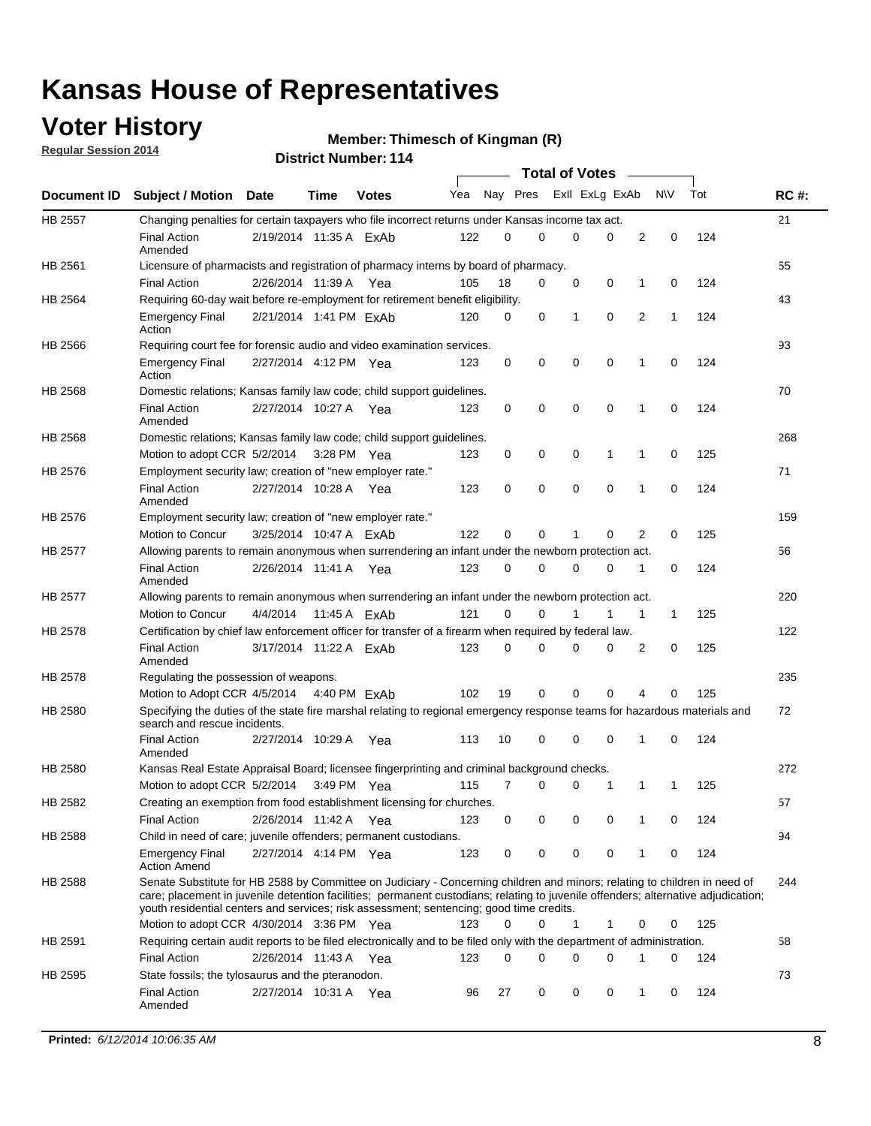### **Voter History**

**Regular Session 2014**

#### **Thimesch of Kingman (R)**

|                |                                                                                                                                                                                                                                                                                                                                                           |                        |             |              |     |          |          | <b>Total of Votes</b> |             |              |             |     |             |
|----------------|-----------------------------------------------------------------------------------------------------------------------------------------------------------------------------------------------------------------------------------------------------------------------------------------------------------------------------------------------------------|------------------------|-------------|--------------|-----|----------|----------|-----------------------|-------------|--------------|-------------|-----|-------------|
|                | Document ID Subject / Motion Date                                                                                                                                                                                                                                                                                                                         |                        | Time        | <b>Votes</b> | Yea | Nay Pres |          | Exll ExLg ExAb        |             |              | N\V         | Tot | <b>RC#:</b> |
| HB 2557        | Changing penalties for certain taxpayers who file incorrect returns under Kansas income tax act.                                                                                                                                                                                                                                                          |                        |             |              |     |          |          |                       |             |              |             |     | 21          |
|                | <b>Final Action</b><br>Amended                                                                                                                                                                                                                                                                                                                            | 2/19/2014 11:35 A ExAb |             |              | 122 | 0        | 0        | 0                     | 0           | 2            | $\mathbf 0$ | 124 |             |
| HB 2561        | Licensure of pharmacists and registration of pharmacy interns by board of pharmacy.                                                                                                                                                                                                                                                                       |                        |             |              |     |          |          |                       |             |              |             |     | 55          |
|                | <b>Final Action</b>                                                                                                                                                                                                                                                                                                                                       | 2/26/2014 11:39 A Yea  |             |              | 105 | 18       | 0        | 0                     | 0           | 1            | 0           | 124 |             |
| HB 2564        | Requiring 60-day wait before re-employment for retirement benefit eligibility.                                                                                                                                                                                                                                                                            |                        |             |              |     |          |          |                       |             |              |             |     | 43          |
|                | <b>Emergency Final</b><br>Action                                                                                                                                                                                                                                                                                                                          | 2/21/2014 1:41 PM ExAb |             |              | 120 | 0        | 0        | 1                     | 0           | 2            | 1           | 124 |             |
| HB 2566        | Requiring court fee for forensic audio and video examination services.                                                                                                                                                                                                                                                                                    |                        |             |              |     |          |          |                       |             |              |             |     | 93          |
|                | <b>Emergency Final</b><br>Action                                                                                                                                                                                                                                                                                                                          | 2/27/2014 4:12 PM Yea  |             |              | 123 | 0        | 0        | $\mathbf 0$           | $\mathbf 0$ | $\mathbf{1}$ | 0           | 124 |             |
| HB 2568        | Domestic relations; Kansas family law code; child support guidelines.                                                                                                                                                                                                                                                                                     |                        |             |              |     |          |          |                       |             |              |             |     | 70          |
|                | <b>Final Action</b><br>Amended                                                                                                                                                                                                                                                                                                                            | 2/27/2014 10:27 A      |             | Yea          | 123 | 0        | 0        | 0                     | $\mathbf 0$ | 1            | 0           | 124 |             |
| HB 2568        | Domestic relations; Kansas family law code; child support guidelines.                                                                                                                                                                                                                                                                                     |                        |             |              |     |          |          |                       |             |              |             |     | 268         |
|                | Motion to adopt CCR 5/2/2014                                                                                                                                                                                                                                                                                                                              |                        | 3:28 PM Yea |              | 123 | 0        | 0        | 0                     | 1           | 1            | 0           | 125 |             |
| HB 2576        | Employment security law; creation of "new employer rate."                                                                                                                                                                                                                                                                                                 |                        |             |              |     |          |          |                       |             |              |             |     | 71          |
|                | <b>Final Action</b><br>Amended                                                                                                                                                                                                                                                                                                                            | 2/27/2014 10:28 A      |             | Yea          | 123 | 0        | 0        | 0                     | $\mathbf 0$ | 1            | 0           | 124 |             |
| HB 2576        | Employment security law; creation of "new employer rate."                                                                                                                                                                                                                                                                                                 |                        |             |              |     |          |          |                       |             |              |             |     | 159         |
|                | Motion to Concur                                                                                                                                                                                                                                                                                                                                          | 3/25/2014 10:47 A ExAb |             |              | 122 | 0        | 0        | 1                     | 0           | 2            | 0           | 125 |             |
| <b>HB 2577</b> | Allowing parents to remain anonymous when surrendering an infant under the newborn protection act.                                                                                                                                                                                                                                                        |                        |             |              |     |          |          |                       |             |              |             |     | 56          |
|                | <b>Final Action</b><br>Amended                                                                                                                                                                                                                                                                                                                            | 2/26/2014 11:41 A Yea  |             |              | 123 | 0        | $\Omega$ | 0                     | 0           | 1            | 0           | 124 |             |
| HB 2577        | Allowing parents to remain anonymous when surrendering an infant under the newborn protection act.                                                                                                                                                                                                                                                        |                        |             |              |     |          |          |                       |             |              |             |     | 220         |
|                | Motion to Concur                                                                                                                                                                                                                                                                                                                                          | 4/4/2014               |             | 11:45 A ExAb | 121 | 0        | 0        |                       | 1           | 1            | $\mathbf 1$ | 125 |             |
| HB 2578        | Certification by chief law enforcement officer for transfer of a firearm when required by federal law.                                                                                                                                                                                                                                                    |                        |             |              |     |          |          |                       |             |              |             |     | 122         |
|                | <b>Final Action</b><br>Amended                                                                                                                                                                                                                                                                                                                            | 3/17/2014 11:22 A ExAb |             |              | 123 | 0        | 0        | $\Omega$              | $\Omega$    | 2            | 0           | 125 |             |
| HB 2578        | Regulating the possession of weapons.                                                                                                                                                                                                                                                                                                                     |                        |             |              |     |          |          |                       |             |              |             |     | 235         |
|                | Motion to Adopt CCR 4/5/2014 4:40 PM ExAb                                                                                                                                                                                                                                                                                                                 |                        |             |              | 102 | 19       | 0        | 0                     | $\Omega$    | 4            | 0           | 125 |             |
| HB 2580        | Specifying the duties of the state fire marshal relating to regional emergency response teams for hazardous materials and<br>search and rescue incidents.                                                                                                                                                                                                 |                        |             |              |     |          |          |                       |             |              |             |     | 72          |
|                | <b>Final Action</b><br>Amended                                                                                                                                                                                                                                                                                                                            | 2/27/2014 10:29 A      |             | Yea          | 113 | 10       | 0        | $\mathbf 0$           | $\mathbf 0$ | 1            | 0           | 124 |             |
| HB 2580        | Kansas Real Estate Appraisal Board; licensee fingerprinting and criminal background checks.                                                                                                                                                                                                                                                               |                        |             |              |     |          |          |                       |             |              |             |     | 272         |
|                | Motion to adopt CCR 5/2/2014                                                                                                                                                                                                                                                                                                                              |                        | 3:49 PM Yea |              | 115 | 7        | 0        | 0                     | 1           | 1            | 1           | 125 |             |
| HB 2582        | Creating an exemption from food establishment licensing for churches.                                                                                                                                                                                                                                                                                     |                        |             |              |     |          |          |                       |             |              |             |     | 57          |
|                | <b>Final Action</b>                                                                                                                                                                                                                                                                                                                                       | 2/26/2014 11:42 A Yea  |             |              | 123 | 0        | 0        | 0                     | 0           |              | 0           | 124 |             |
| HB 2588        | Child in need of care; juvenile offenders; permanent custodians.                                                                                                                                                                                                                                                                                          |                        |             |              |     |          |          |                       |             |              |             |     | 94          |
|                | <b>Emergency Final</b><br><b>Action Amend</b>                                                                                                                                                                                                                                                                                                             | 2/27/2014 4:14 PM Yea  |             |              | 123 | 0        | 0        | 0                     | 0           | 1            | 0           | 124 |             |
| HB 2588        | Senate Substitute for HB 2588 by Committee on Judiciary - Concerning children and minors; relating to children in need of<br>care; placement in juvenile detention facilities; permanent custodians; relating to juvenile offenders; alternative adjudication;<br>youth residential centers and services; risk assessment; sentencing; good time credits. |                        |             |              |     |          |          |                       |             |              |             |     | 244         |
|                | Motion to adopt CCR 4/30/2014 3:36 PM Yea                                                                                                                                                                                                                                                                                                                 |                        |             |              | 123 | 0        | 0        | 1                     | 1           | 0            | 0           | 125 |             |
| HB 2591        | Requiring certain audit reports to be filed electronically and to be filed only with the department of administration.                                                                                                                                                                                                                                    |                        |             |              |     |          |          |                       |             |              |             |     | 58          |
|                | <b>Final Action</b>                                                                                                                                                                                                                                                                                                                                       | 2/26/2014 11:43 A Yea  |             |              | 123 | 0        | 0        | 0                     | 0           | 1            | 0           | 124 |             |
| HB 2595        | State fossils; the tylosaurus and the pteranodon.                                                                                                                                                                                                                                                                                                         |                        |             |              |     |          |          |                       |             |              |             |     | 73          |
|                | <b>Final Action</b><br>Amended                                                                                                                                                                                                                                                                                                                            | 2/27/2014 10:31 A Yea  |             |              | 96  | 27       | 0        | 0                     | 0           | 1            | 0           | 124 |             |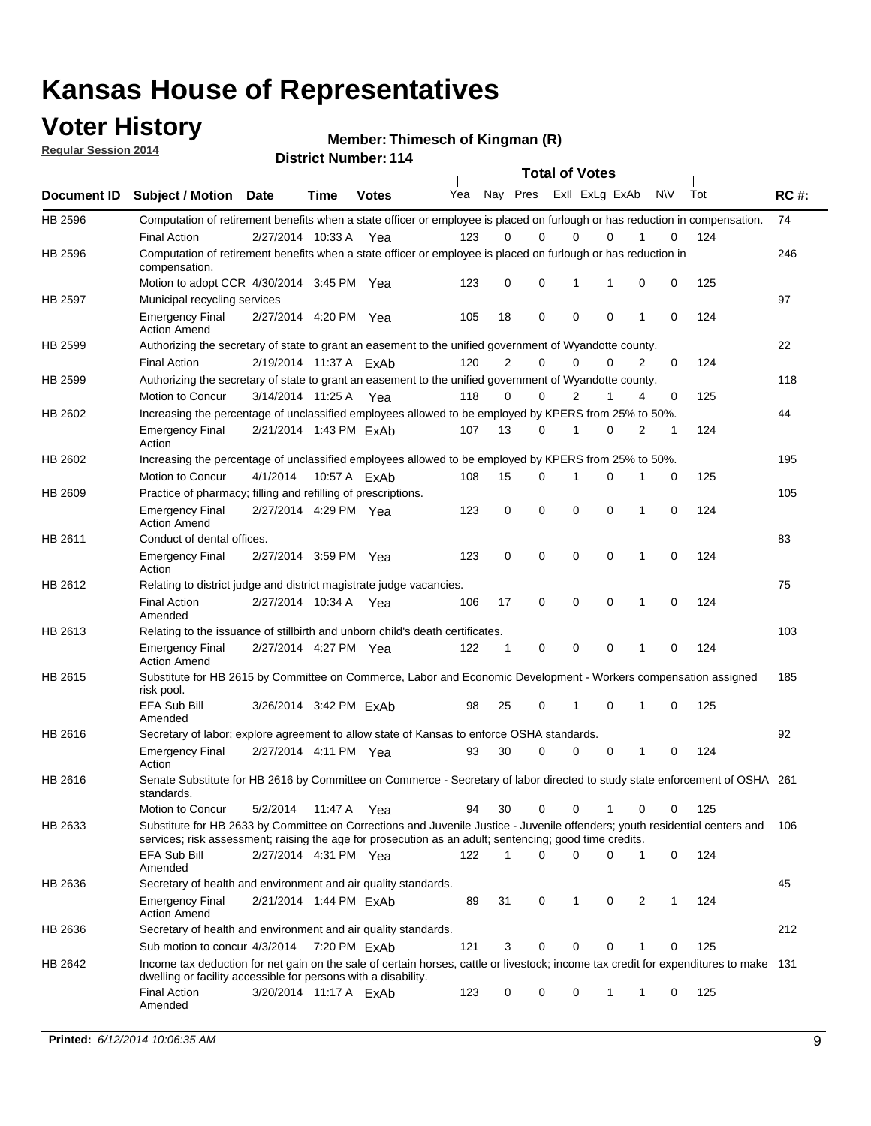### **Voter History**

**Regular Session 2014**

**Thimesch of Kingman (R)**

|             |                                                                                                                                                                                                                                       |                        |              | PISUIVLINUIIINGI. I I <del>4</del> |     |                |             |                | <b>Total of Votes</b> |              |           |     |             |
|-------------|---------------------------------------------------------------------------------------------------------------------------------------------------------------------------------------------------------------------------------------|------------------------|--------------|------------------------------------|-----|----------------|-------------|----------------|-----------------------|--------------|-----------|-----|-------------|
| Document ID | <b>Subject / Motion Date</b>                                                                                                                                                                                                          |                        | Time         | <b>Votes</b>                       | Yea | Nay Pres       |             |                | Exll ExLg ExAb        |              | <b>NV</b> | Tot | <b>RC#:</b> |
| HB 2596     | Computation of retirement benefits when a state officer or employee is placed on furlough or has reduction in compensation.                                                                                                           |                        |              |                                    |     |                |             |                |                       |              |           |     | 74          |
|             | <b>Final Action</b>                                                                                                                                                                                                                   | 2/27/2014 10:33 A      |              | Yea                                | 123 | 0              | $\Omega$    | 0              | $\Omega$              |              | 0         | 124 |             |
| HB 2596     | Computation of retirement benefits when a state officer or employee is placed on furlough or has reduction in<br>compensation.                                                                                                        |                        |              |                                    |     |                |             |                |                       |              |           |     | 246         |
|             | Motion to adopt CCR 4/30/2014 3:45 PM Yea                                                                                                                                                                                             |                        |              |                                    | 123 | 0              | 0           | 1              |                       | 0            | 0         | 125 |             |
| HB 2597     | Municipal recycling services                                                                                                                                                                                                          |                        |              |                                    |     |                |             |                |                       |              |           |     | 97          |
|             | <b>Emergency Final</b><br><b>Action Amend</b>                                                                                                                                                                                         | 2/27/2014 4:20 PM Yea  |              |                                    | 105 | 18             | 0           | $\mathbf 0$    | $\mathbf 0$           | 1            | 0         | 124 |             |
| HB 2599     | Authorizing the secretary of state to grant an easement to the unified government of Wyandotte county.                                                                                                                                |                        |              |                                    |     |                |             |                |                       |              |           |     | 22          |
|             | <b>Final Action</b>                                                                                                                                                                                                                   | 2/19/2014 11:37 A ExAb |              |                                    | 120 | $\overline{2}$ | 0           | $\Omega$       | 0                     | 2            | 0         | 124 |             |
| HB 2599     | Authorizing the secretary of state to grant an easement to the unified government of Wyandotte county.                                                                                                                                |                        |              |                                    |     |                |             |                |                       |              |           |     | 118         |
|             | Motion to Concur                                                                                                                                                                                                                      | 3/14/2014 11:25 A Yea  |              |                                    | 118 | 0              | $\mathbf 0$ | $\overline{2}$ | 1                     | 4            | 0         | 125 |             |
| HB 2602     | Increasing the percentage of unclassified employees allowed to be employed by KPERS from 25% to 50%.                                                                                                                                  |                        |              |                                    |     |                |             |                |                       |              |           |     | 44          |
|             | <b>Emergency Final</b><br>Action                                                                                                                                                                                                      | 2/21/2014 1:43 PM ExAb |              |                                    | 107 | 13             | 0           | 1              | 0                     | 2            | 1         | 124 |             |
| HB 2602     | Increasing the percentage of unclassified employees allowed to be employed by KPERS from 25% to 50%.                                                                                                                                  |                        |              |                                    |     |                |             |                |                       |              |           |     | 195         |
|             | Motion to Concur                                                                                                                                                                                                                      | 4/1/2014               | 10:57 A ExAb |                                    | 108 | 15             | 0           | 1              | 0                     | 1            | 0         | 125 |             |
| HB 2609     | Practice of pharmacy; filling and refilling of prescriptions.                                                                                                                                                                         |                        |              |                                    |     |                |             |                |                       |              |           |     | 105         |
|             | <b>Emergency Final</b><br><b>Action Amend</b>                                                                                                                                                                                         | 2/27/2014 4:29 PM Yea  |              |                                    | 123 | 0              | $\mathbf 0$ | $\mathbf 0$    | 0                     | $\mathbf{1}$ | 0         | 124 |             |
| HB 2611     | Conduct of dental offices.                                                                                                                                                                                                            |                        |              |                                    |     |                |             |                |                       |              |           |     | 83          |
|             | <b>Emergency Final</b><br>Action                                                                                                                                                                                                      | 2/27/2014 3:59 PM Yea  |              |                                    | 123 | 0              | $\mathbf 0$ | $\mathbf 0$    | 0                     | $\mathbf{1}$ | 0         | 124 |             |
| HB 2612     | Relating to district judge and district magistrate judge vacancies.                                                                                                                                                                   |                        |              |                                    |     |                |             |                |                       |              |           |     | 75          |
|             | <b>Final Action</b><br>Amended                                                                                                                                                                                                        | 2/27/2014 10:34 A      |              | Yea                                | 106 | 17             | $\mathbf 0$ | $\mathbf 0$    | 0                     | 1            | $\Omega$  | 124 |             |
| HB 2613     | Relating to the issuance of stillbirth and unborn child's death certificates.                                                                                                                                                         |                        |              |                                    |     |                |             |                |                       |              |           |     | 103         |
|             | <b>Emergency Final</b><br><b>Action Amend</b>                                                                                                                                                                                         | 2/27/2014 4:27 PM Yea  |              |                                    | 122 | $\mathbf 1$    | 0           | 0              | 0                     | 1            | 0         | 124 |             |
| HB 2615     | Substitute for HB 2615 by Committee on Commerce, Labor and Economic Development - Workers compensation assigned<br>risk pool.                                                                                                         |                        |              |                                    |     |                |             |                |                       |              |           |     | 185         |
|             | <b>EFA Sub Bill</b><br>Amended                                                                                                                                                                                                        | 3/26/2014 3:42 PM ExAb |              |                                    | 98  | 25             | 0           | 1              | 0                     | 1            | 0         | 125 |             |
| HB 2616     | Secretary of labor; explore agreement to allow state of Kansas to enforce OSHA standards.                                                                                                                                             |                        |              |                                    |     |                |             |                |                       |              |           |     | 92          |
|             | <b>Emergency Final</b><br>Action                                                                                                                                                                                                      | 2/27/2014 4:11 PM Yea  |              |                                    | 93  | 30             | 0           | 0              | 0                     | 1            | 0         | 124 |             |
| HB 2616     | Senate Substitute for HB 2616 by Committee on Commerce - Secretary of labor directed to study state enforcement of OSHA 261<br>standards.                                                                                             |                        |              |                                    |     |                |             |                |                       |              |           |     |             |
|             | Motion to Concur                                                                                                                                                                                                                      | 5/2/2014               | 11:47 A Yea  |                                    | 94  | 30             | 0           | $\mathbf 0$    | 1                     | 0            | 0         | 125 |             |
| HB 2633     | Substitute for HB 2633 by Committee on Corrections and Juvenile Justice - Juvenile offenders; youth residential centers and<br>services; risk assessment; raising the age for prosecution as an adult; sentencing; good time credits. |                        |              |                                    |     |                |             |                |                       |              |           |     | 106         |
|             | <b>EFA Sub Bill</b><br>Amended                                                                                                                                                                                                        | 2/27/2014 4:31 PM Yea  |              |                                    | 122 | 1              | 0           | $\mathbf 0$    | 0                     | 1            | 0         | 124 |             |
| HB 2636     | Secretary of health and environment and air quality standards.                                                                                                                                                                        |                        |              |                                    |     |                |             |                |                       |              |           |     | 45          |
|             | <b>Emergency Final</b><br><b>Action Amend</b>                                                                                                                                                                                         | 2/21/2014 1:44 PM ExAb |              |                                    | 89  | 31             | 0           | 1              | 0                     | 2            | 1         | 124 |             |
| HB 2636     | Secretary of health and environment and air quality standards.                                                                                                                                                                        |                        |              |                                    |     |                |             |                |                       |              |           |     | 212         |
|             | Sub motion to concur 4/3/2014                                                                                                                                                                                                         |                        | 7:20 PM FxAb |                                    | 121 | 3              | 0           | 0              | 0                     | 1            | 0         | 125 |             |
| HB 2642     | Income tax deduction for net gain on the sale of certain horses, cattle or livestock; income tax credit for expenditures to make 131                                                                                                  |                        |              |                                    |     |                |             |                |                       |              |           |     |             |
|             | dwelling or facility accessible for persons with a disability.<br><b>Final Action</b>                                                                                                                                                 | 3/20/2014 11:17 A ExAb |              |                                    | 123 | 0              | 0           | 0              | 1                     | 1            | 0         | 125 |             |
|             | Amended                                                                                                                                                                                                                               |                        |              |                                    |     |                |             |                |                       |              |           |     |             |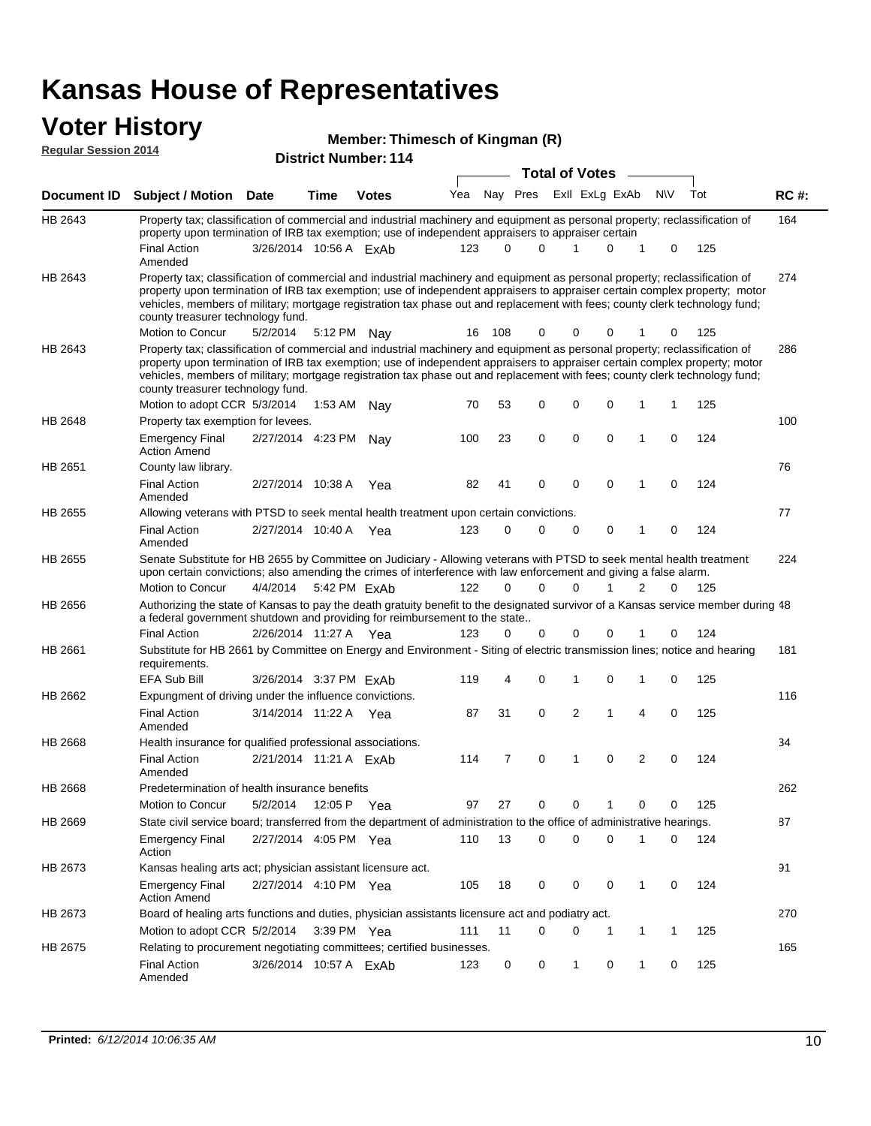#### **Voter History Regular Session 2014**

|  | Member: Thimesch of Kingman (R) |  |  |
|--|---------------------------------|--|--|
|--|---------------------------------|--|--|

|  | <b>District Number: 114</b> |  |
|--|-----------------------------|--|
|  |                             |  |

|                |                                                                                                                                                                                                                                                                                                                                                                                                                               |                        |             |              |     |          |             | <b>Total of Votes</b>   |             |                |              |     |             |
|----------------|-------------------------------------------------------------------------------------------------------------------------------------------------------------------------------------------------------------------------------------------------------------------------------------------------------------------------------------------------------------------------------------------------------------------------------|------------------------|-------------|--------------|-----|----------|-------------|-------------------------|-------------|----------------|--------------|-----|-------------|
|                | Document ID Subject / Motion Date                                                                                                                                                                                                                                                                                                                                                                                             |                        | Time        | <b>Votes</b> | Yea |          |             | Nay Pres ExII ExLg ExAb |             |                | <b>NV</b>    | Tot | <b>RC#:</b> |
| HB 2643        | Property tax; classification of commercial and industrial machinery and equipment as personal property; reclassification of<br>property upon termination of IRB tax exemption; use of independent appraisers to appraiser certain                                                                                                                                                                                             |                        |             |              |     |          |             |                         |             |                |              |     | 164         |
|                | <b>Final Action</b><br>Amended                                                                                                                                                                                                                                                                                                                                                                                                | 3/26/2014 10:56 A FxAb |             |              | 123 | $\Omega$ | $\Omega$    | 1                       | $\Omega$    | 1              | 0            | 125 |             |
| HB 2643        | Property tax; classification of commercial and industrial machinery and equipment as personal property; reclassification of<br>property upon termination of IRB tax exemption; use of independent appraisers to appraiser certain complex property; motor<br>vehicles, members of military; mortgage registration tax phase out and replacement with fees; county clerk technology fund;<br>county treasurer technology fund. |                        |             |              |     |          |             |                         |             |                |              |     | 274         |
|                | Motion to Concur                                                                                                                                                                                                                                                                                                                                                                                                              | 5/2/2014               |             | 5:12 PM Nay  | 16  | 108      | 0           | 0                       | 0           |                | 0            | 125 |             |
| HB 2643        | Property tax; classification of commercial and industrial machinery and equipment as personal property; reclassification of<br>property upon termination of IRB tax exemption; use of independent appraisers to appraiser certain complex property; motor<br>vehicles, members of military; mortgage registration tax phase out and replacement with fees; county clerk technology fund;<br>county treasurer technology fund. |                        |             |              |     |          |             |                         |             |                |              |     | 286         |
|                | Motion to adopt CCR 5/3/2014                                                                                                                                                                                                                                                                                                                                                                                                  |                        | 1:53 AM     | Nay          | 70  | 53       | 0           | 0                       | 0           | 1              | 1            | 125 |             |
| HB 2648        | Property tax exemption for levees.                                                                                                                                                                                                                                                                                                                                                                                            |                        |             |              |     |          |             |                         |             |                |              |     | 100         |
|                | <b>Emergency Final</b><br><b>Action Amend</b>                                                                                                                                                                                                                                                                                                                                                                                 | 2/27/2014 4:23 PM      |             | Nay          | 100 | 23       | 0           | 0                       | $\mathbf 0$ | 1              | 0            | 124 |             |
| HB 2651        | County law library.                                                                                                                                                                                                                                                                                                                                                                                                           |                        |             |              |     |          |             |                         |             |                |              |     | 76          |
|                | <b>Final Action</b><br>Amended                                                                                                                                                                                                                                                                                                                                                                                                | 2/27/2014 10:38 A      |             | Yea          | 82  | 41       | 0           | 0                       | $\mathbf 0$ | 1              | $\Omega$     | 124 |             |
| HB 2655        | Allowing veterans with PTSD to seek mental health treatment upon certain convictions.                                                                                                                                                                                                                                                                                                                                         |                        |             |              |     |          |             |                         |             |                |              |     | 77          |
|                | <b>Final Action</b><br>Amended                                                                                                                                                                                                                                                                                                                                                                                                | 2/27/2014 10:40 A      |             | Yea          | 123 | 0        | $\mathbf 0$ | 0                       | 0           | 1              | 0            | 124 |             |
| <b>HB 2655</b> | Senate Substitute for HB 2655 by Committee on Judiciary - Allowing veterans with PTSD to seek mental health treatment<br>upon certain convictions; also amending the crimes of interference with law enforcement and giving a false alarm.                                                                                                                                                                                    |                        |             |              |     |          |             |                         |             |                |              |     | 224         |
|                | Motion to Concur                                                                                                                                                                                                                                                                                                                                                                                                              | 4/4/2014               |             | 5:42 PM ExAb | 122 | $\Omega$ | $\Omega$    | 0                       | 1           | 2              | 0            | 125 |             |
| HB 2656        | Authorizing the state of Kansas to pay the death gratuity benefit to the designated survivor of a Kansas service member during 48<br>a federal government shutdown and providing for reimbursement to the state                                                                                                                                                                                                               |                        |             |              |     |          |             |                         |             |                |              |     |             |
|                | <b>Final Action</b>                                                                                                                                                                                                                                                                                                                                                                                                           | 2/26/2014 11:27 A Yea  |             |              | 123 | 0        | 0           | 0                       | 0           | 1              | 0            | 124 |             |
| HB 2661        | Substitute for HB 2661 by Committee on Energy and Environment - Siting of electric transmission lines; notice and hearing<br>requirements.                                                                                                                                                                                                                                                                                    |                        |             |              |     |          |             |                         |             |                |              |     | 181         |
|                | <b>EFA Sub Bill</b>                                                                                                                                                                                                                                                                                                                                                                                                           | 3/26/2014 3:37 PM ExAb |             |              | 119 | 4        | 0           | 1                       | 0           | 1              | 0            | 125 |             |
| HB 2662        | Expungment of driving under the influence convictions.                                                                                                                                                                                                                                                                                                                                                                        |                        |             |              |     |          |             |                         |             |                |              |     | 116         |
|                | <b>Final Action</b><br>Amended                                                                                                                                                                                                                                                                                                                                                                                                | 3/14/2014 11:22 A      |             | Yea          | 87  | 31       | 0           | $\overline{2}$          | 1           | 4              | 0            | 125 |             |
| <b>HB 2668</b> | Health insurance for qualified professional associations.                                                                                                                                                                                                                                                                                                                                                                     |                        |             |              |     |          |             |                         |             |                |              |     | 34          |
|                | <b>Final Action</b><br>Amended                                                                                                                                                                                                                                                                                                                                                                                                | 2/21/2014 11:21 A ExAb |             |              | 114 | 7        | 0           | 1                       | $\mathbf 0$ | $\overline{2}$ | 0            | 124 |             |
| HB 2668        | Predetermination of health insurance benefits                                                                                                                                                                                                                                                                                                                                                                                 |                        |             |              |     |          |             |                         |             |                |              |     | 262         |
|                | Motion to Concur                                                                                                                                                                                                                                                                                                                                                                                                              | 5/2/2014               | 12:05 P Yea |              | 97  | 27       | 0           | 0                       |             | 0              | 0            | 125 |             |
| HB 2669        | State civil service board; transferred from the department of administration to the office of administrative hearings.                                                                                                                                                                                                                                                                                                        |                        |             |              |     |          |             |                         |             |                |              |     | 87          |
|                | <b>Emergency Final</b><br>Action                                                                                                                                                                                                                                                                                                                                                                                              | 2/27/2014 4:05 PM Yea  |             |              | 110 | 13       | $\mathbf 0$ | 0                       | 0           | 1              | 0            | 124 |             |
| HB 2673        | Kansas healing arts act; physician assistant licensure act.                                                                                                                                                                                                                                                                                                                                                                   |                        |             |              |     |          |             |                         |             |                |              |     | 91          |
|                | <b>Emergency Final</b><br><b>Action Amend</b>                                                                                                                                                                                                                                                                                                                                                                                 | 2/27/2014 4:10 PM Yea  |             |              | 105 | 18       | 0           | 0                       | 0           | 1              | 0            | 124 |             |
| HB 2673        | Board of healing arts functions and duties, physician assistants licensure act and podiatry act.                                                                                                                                                                                                                                                                                                                              |                        |             |              |     |          |             |                         |             |                |              |     | 270         |
|                | Motion to adopt CCR 5/2/2014 3:39 PM Yea                                                                                                                                                                                                                                                                                                                                                                                      |                        |             |              | 111 | 11       | $\Omega$    | 0                       | 1           | 1              | $\mathbf{1}$ | 125 |             |
| HB 2675        | Relating to procurement negotiating committees; certified businesses.                                                                                                                                                                                                                                                                                                                                                         |                        |             |              |     |          |             |                         |             |                |              |     | 165         |
|                | <b>Final Action</b><br>Amended                                                                                                                                                                                                                                                                                                                                                                                                | 3/26/2014 10:57 A ExAb |             |              | 123 | 0        | 0           | 1                       | 0           | $\mathbf{1}$   | 0            | 125 |             |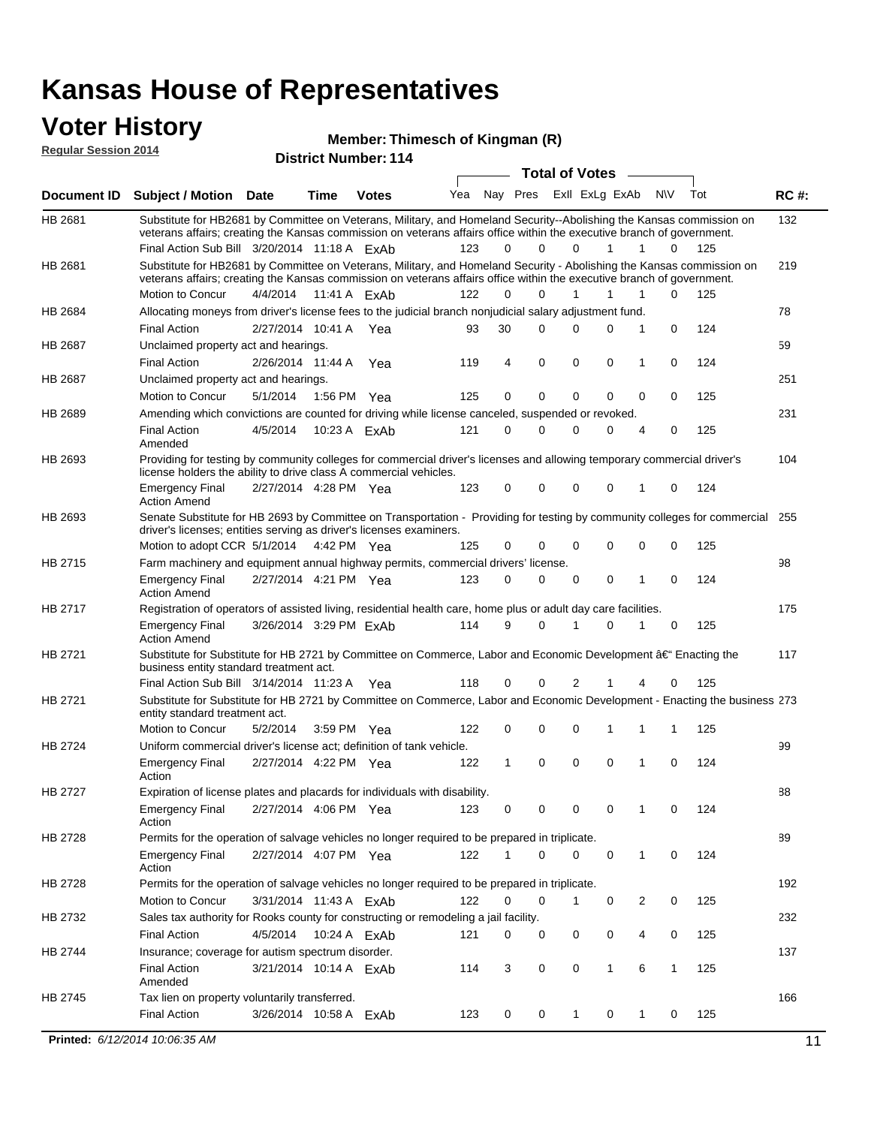### **Voter History**

**Regular Session 2014**

#### **Thimesch of Kingman (R)**

|                |                                                                                                                                                                                                                                                 |                         |             |              |     |          |             | <b>Total of Votes</b> |              | $\sim$       |             |     |             |
|----------------|-------------------------------------------------------------------------------------------------------------------------------------------------------------------------------------------------------------------------------------------------|-------------------------|-------------|--------------|-----|----------|-------------|-----------------------|--------------|--------------|-------------|-----|-------------|
|                | Document ID Subject / Motion Date                                                                                                                                                                                                               |                         | Time        | <b>Votes</b> | Yea | Nav Pres |             | Exll ExLg ExAb        |              |              | <b>NV</b>   | Tot | <b>RC#:</b> |
| HB 2681        | Substitute for HB2681 by Committee on Veterans, Military, and Homeland Security--Abolishing the Kansas commission on                                                                                                                            |                         |             |              |     |          |             |                       |              |              |             |     | 132         |
|                | veterans affairs; creating the Kansas commission on veterans affairs office within the executive branch of government.                                                                                                                          |                         |             |              |     |          |             |                       |              |              |             |     |             |
|                | Final Action Sub Bill 3/20/2014 11:18 A ExAb                                                                                                                                                                                                    |                         |             |              | 123 | 0        | $\Omega$    | $\Omega$              | $\mathbf{1}$ | $\mathbf{1}$ | 0           | 125 |             |
| HB 2681        | Substitute for HB2681 by Committee on Veterans, Military, and Homeland Security - Abolishing the Kansas commission on<br>veterans affairs; creating the Kansas commission on veterans affairs office within the executive branch of government. |                         |             |              |     |          |             |                       |              |              |             |     | 219         |
|                | Motion to Concur                                                                                                                                                                                                                                | 4/4/2014 11:41 A ExAb   |             |              | 122 | 0        | $\Omega$    |                       | 1            | 1            | 0           | 125 |             |
| HB 2684        | Allocating moneys from driver's license fees to the judicial branch nonjudicial salary adjustment fund.                                                                                                                                         |                         |             |              |     |          |             |                       |              |              |             |     | 78          |
|                | <b>Final Action</b>                                                                                                                                                                                                                             | 2/27/2014 10:41 A Yea   |             |              | 93  | 30       | $\Omega$    | 0                     | $\Omega$     | 1            | $\mathbf 0$ | 124 |             |
| HB 2687        | Unclaimed property act and hearings.                                                                                                                                                                                                            |                         |             |              |     |          |             |                       |              |              |             |     | 59          |
|                | <b>Final Action</b>                                                                                                                                                                                                                             | 2/26/2014 11:44 A       |             | Yea          | 119 | 4        | 0           | 0                     | 0            | 1            | $\mathbf 0$ | 124 |             |
| <b>HB 2687</b> | Unclaimed property act and hearings.                                                                                                                                                                                                            |                         |             |              |     |          |             |                       |              |              |             |     | 251         |
|                | Motion to Concur                                                                                                                                                                                                                                | 5/1/2014                | 1:56 PM Yea |              | 125 | 0        | $\mathbf 0$ | 0                     | $\mathbf{0}$ | 0            | 0           | 125 |             |
| <b>HB 2689</b> | Amending which convictions are counted for driving while license canceled, suspended or revoked.                                                                                                                                                |                         |             |              |     |          |             |                       |              |              |             |     | 231         |
|                | <b>Final Action</b><br>Amended                                                                                                                                                                                                                  | 4/5/2014                |             | 10:23 A ExAb | 121 | 0        | $\Omega$    | 0                     | $\Omega$     | 4            | 0           | 125 |             |
| HB 2693        | Providing for testing by community colleges for commercial driver's licenses and allowing temporary commercial driver's<br>license holders the ability to drive class A commercial vehicles.                                                    |                         |             |              |     |          |             |                       |              |              |             |     | 104         |
|                | <b>Emergency Final</b><br><b>Action Amend</b>                                                                                                                                                                                                   | 2/27/2014 4:28 PM Yea   |             |              | 123 | 0        | 0           | 0                     | 0            | 1            | 0           | 124 |             |
| HB 2693        | Senate Substitute for HB 2693 by Committee on Transportation - Providing for testing by community colleges for commercial 255<br>driver's licenses; entities serving as driver's licenses examiners.                                            |                         |             |              |     |          |             |                       |              |              |             |     |             |
|                | Motion to adopt CCR 5/1/2014 4:42 PM Yea                                                                                                                                                                                                        |                         |             |              | 125 | 0        | 0           | 0                     | 0            | 0            | 0           | 125 |             |
| <b>HB 2715</b> | Farm machinery and equipment annual highway permits, commercial drivers' license.                                                                                                                                                               |                         |             |              |     |          |             |                       |              |              |             |     | 98          |
|                | <b>Emergency Final</b><br><b>Action Amend</b>                                                                                                                                                                                                   | 2/27/2014 4:21 PM Yea   |             |              | 123 | 0        | $\Omega$    | 0                     | 0            | 1            | 0           | 124 |             |
| HB 2717        | Registration of operators of assisted living, residential health care, home plus or adult day care facilities.                                                                                                                                  |                         |             |              |     |          |             |                       |              |              |             |     | 175         |
|                | <b>Emergency Final</b><br><b>Action Amend</b>                                                                                                                                                                                                   | 3/26/2014 3:29 PM ExAb  |             |              | 114 | 9        | $\Omega$    | 1                     | 0            | 1            | 0           | 125 |             |
| HB 2721        | Substitute for Substitute for HB 2721 by Committee on Commerce, Labor and Economic Development †Enacting the                                                                                                                                    |                         |             |              |     |          |             |                       |              |              |             |     | 117         |
|                | business entity standard treatment act.                                                                                                                                                                                                         |                         |             |              |     |          |             |                       |              |              |             |     |             |
|                | Final Action Sub Bill 3/14/2014 11:23 A Yea                                                                                                                                                                                                     |                         |             |              | 118 | 0        | 0           | 2                     |              | 4            | 0           | 125 |             |
| HB 2721        | Substitute for Substitute for HB 2721 by Committee on Commerce, Labor and Economic Development - Enacting the business 273<br>entity standard treatment act.                                                                                    |                         |             |              |     |          |             |                       |              |              |             |     |             |
|                | Motion to Concur                                                                                                                                                                                                                                | 5/2/2014                | 3:59 PM Yea |              | 122 | 0        | 0           | 0                     | 1            | 1            | 1           | 125 |             |
| <b>HB 2724</b> | Uniform commercial driver's license act; definition of tank vehicle.                                                                                                                                                                            |                         |             |              |     |          |             |                       |              |              |             |     | 99          |
|                | <b>Emergency Final</b><br>Action                                                                                                                                                                                                                | 2/27/2014 4:22 PM Yea   |             |              | 122 | 1        | 0           | 0                     | 0            | 1            | 0           | 124 |             |
| HB 2727        | Expiration of license plates and placards for individuals with disability.                                                                                                                                                                      |                         |             |              |     |          |             |                       |              |              |             |     | 88          |
|                | Emergency Final<br>Action                                                                                                                                                                                                                       | 2/27/2014 4:06 PM Yea   |             |              | 123 | 0        | 0           | 0                     | 0            | $\mathbf{1}$ | 0           | 124 |             |
| HB 2728        | Permits for the operation of salvage vehicles no longer required to be prepared in triplicate.                                                                                                                                                  |                         |             |              |     |          |             |                       |              |              |             |     | 89          |
|                | <b>Emergency Final</b><br>Action                                                                                                                                                                                                                | 2/27/2014 4:07 PM Yea   |             |              | 122 | 1        | 0           | 0                     | 0            | 1            | 0           | 124 |             |
| HB 2728        | Permits for the operation of salvage vehicles no longer required to be prepared in triplicate.                                                                                                                                                  |                         |             |              |     |          |             |                       |              |              |             |     | 192         |
|                | Motion to Concur                                                                                                                                                                                                                                | 3/31/2014 11:43 A ExAb  |             |              | 122 | 0        | 0           | 1                     | 0            | 2            | 0           | 125 |             |
| HB 2732        | Sales tax authority for Rooks county for constructing or remodeling a jail facility.                                                                                                                                                            |                         |             |              |     |          |             |                       |              |              |             |     | 232         |
|                | <b>Final Action</b>                                                                                                                                                                                                                             | 4/5/2014  10:24 A  ExAb |             |              | 121 | 0        | 0           | 0                     | 0            | 4            | 0           | 125 |             |
| HB 2744        | Insurance; coverage for autism spectrum disorder.                                                                                                                                                                                               |                         |             |              |     |          |             |                       |              |              |             |     | 137         |
|                | <b>Final Action</b><br>Amended                                                                                                                                                                                                                  | 3/21/2014 10:14 A FxAb  |             |              | 114 | 3        | 0           | 0                     | 1            | 6            | 1           | 125 |             |
| HB 2745        | Tax lien on property voluntarily transferred.                                                                                                                                                                                                   |                         |             |              |     |          |             |                       |              |              |             |     | 166         |
|                | <b>Final Action</b>                                                                                                                                                                                                                             | 3/26/2014 10:58 A ExAb  |             |              | 123 | 0        | 0           | 1                     | 0            | 1            | 0           | 125 |             |
|                | Printed: 6/12/2014 10:06:35 AM                                                                                                                                                                                                                  |                         |             |              |     |          |             |                       |              |              |             |     | 11          |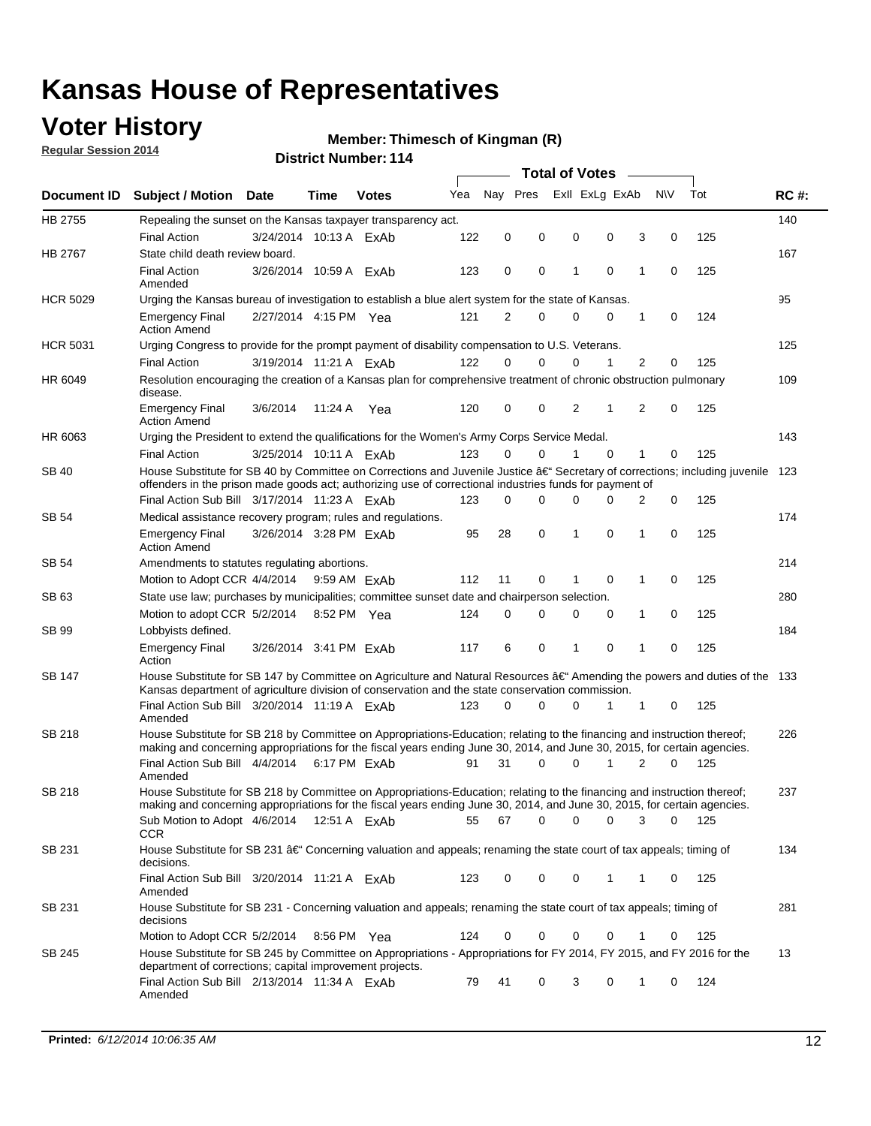## **Voter History**

**Regular Session 2014**

#### **Thimesch of Kingman (R)**

|                 |                                                                                                                                                                                                                                      |                        |             |              |     |          |             | <b>Total of Votes</b> |                             |             |       |             |
|-----------------|--------------------------------------------------------------------------------------------------------------------------------------------------------------------------------------------------------------------------------------|------------------------|-------------|--------------|-----|----------|-------------|-----------------------|-----------------------------|-------------|-------|-------------|
|                 | Document ID Subject / Motion Date                                                                                                                                                                                                    |                        | Time        | <b>Votes</b> | Yea | Nay Pres |             |                       | Exll ExLg ExAb              | N\V         | Tot   | <b>RC#:</b> |
| HB 2755         | Repealing the sunset on the Kansas taxpayer transparency act.                                                                                                                                                                        |                        |             |              |     |          |             |                       |                             |             |       | 140         |
|                 | <b>Final Action</b>                                                                                                                                                                                                                  | 3/24/2014 10:13 A ExAb |             |              | 122 | 0        | 0           | 0                     | 0<br>3                      | 0           | 125   |             |
| <b>HB 2767</b>  | State child death review board.                                                                                                                                                                                                      |                        |             |              |     |          |             |                       |                             |             |       | 167         |
|                 | <b>Final Action</b><br>Amended                                                                                                                                                                                                       | 3/26/2014 10:59 A ExAb |             |              | 123 | 0        | 0           | 1                     | $\mathbf 0$<br>1            | 0           | 125   |             |
| <b>HCR 5029</b> | Urging the Kansas bureau of investigation to establish a blue alert system for the state of Kansas.                                                                                                                                  |                        |             |              |     |          |             |                       |                             |             |       | 95          |
|                 | <b>Emergency Final</b><br><b>Action Amend</b>                                                                                                                                                                                        | 2/27/2014 4:15 PM Yea  |             |              | 121 | 2        | 0           | 0                     | 0<br>1                      | 0           | 124   |             |
| <b>HCR 5031</b> | Urging Congress to provide for the prompt payment of disability compensation to U.S. Veterans.                                                                                                                                       |                        |             |              |     |          |             |                       |                             |             |       | 125         |
|                 | <b>Final Action</b>                                                                                                                                                                                                                  | 3/19/2014 11:21 A ExAb |             |              | 122 | $\Omega$ | $\Omega$    | 0                     | $\overline{2}$<br>1         | 0           | 125   |             |
| HR 6049         | Resolution encouraging the creation of a Kansas plan for comprehensive treatment of chronic obstruction pulmonary<br>disease.                                                                                                        |                        |             |              |     |          |             |                       |                             |             |       | 109         |
|                 | <b>Emergency Final</b><br><b>Action Amend</b>                                                                                                                                                                                        | 3/6/2014               | 11:24 A     | Yea          | 120 | 0        | 0           | 2                     | $\overline{2}$<br>1         | $\mathbf 0$ | 125   |             |
| HR 6063         | Urging the President to extend the qualifications for the Women's Army Corps Service Medal.                                                                                                                                          |                        |             |              |     |          |             |                       |                             |             |       | 143         |
|                 | <b>Final Action</b>                                                                                                                                                                                                                  | 3/25/2014 10:11 A ExAb |             |              | 123 | $\Omega$ | $\Omega$    | 1                     | $\Omega$<br>1               | 0           | 125   |             |
| SB 40           | House Substitute for SB 40 by Committee on Corrections and Juvenile Justice †Secretary of corrections; including juvenile<br>offenders in the prison made goods act; authorizing use of correctional industries funds for payment of |                        |             |              |     |          |             |                       |                             |             |       | 123         |
|                 | Final Action Sub Bill 3/17/2014 11:23 A ExAb                                                                                                                                                                                         |                        |             |              | 123 | 0        | 0           | 0                     | <sup>0</sup><br>2           | 0           | 125   |             |
| SB 54           | Medical assistance recovery program; rules and regulations.                                                                                                                                                                          |                        |             |              |     |          |             |                       |                             |             |       | 174         |
|                 | <b>Emergency Final</b><br><b>Action Amend</b>                                                                                                                                                                                        | 3/26/2014 3:28 PM FxAh |             |              | 95  | 28       | $\mathbf 0$ | 1                     | $\mathbf 0$<br>1            | 0           | 125   |             |
| SB 54           | Amendments to statutes regulating abortions.                                                                                                                                                                                         |                        |             |              |     |          |             |                       |                             |             |       | 214         |
|                 | Motion to Adopt CCR 4/4/2014 9:59 AM ExAb                                                                                                                                                                                            |                        |             |              | 112 | 11       | 0           |                       | $\mathbf 0$<br>1            | 0           | 125   |             |
| SB 63           | State use law; purchases by municipalities; committee sunset date and chairperson selection.                                                                                                                                         |                        |             |              |     |          |             |                       |                             |             |       | 280         |
|                 | Motion to adopt CCR 5/2/2014                                                                                                                                                                                                         |                        | 8:52 PM Yea |              | 124 | 0        | 0           | 0                     | 1<br>0                      | 0           | 125   |             |
| SB 99           | Lobbyists defined.                                                                                                                                                                                                                   |                        |             |              |     |          |             |                       |                             |             |       | 184         |
|                 | <b>Emergency Final</b><br>Action                                                                                                                                                                                                     | 3/26/2014 3:41 PM ExAb |             |              | 117 | 6        | 0           | 1                     | $\mathbf 0$<br>$\mathbf{1}$ | 0           | 125   |             |
| SB 147          | House Substitute for SB 147 by Committee on Agriculture and Natural Resources †Amending the powers and duties of the 133<br>Kansas department of agriculture division of conservation and the state conservation commission.         |                        |             |              |     |          |             |                       |                             |             |       |             |
|                 | Final Action Sub Bill 3/20/2014 11:19 A ExAb<br>Amended                                                                                                                                                                              |                        |             |              | 123 | 0        | $\Omega$    | 0                     | 1<br>1                      | 0           | 125   |             |
| <b>SB 218</b>   | House Substitute for SB 218 by Committee on Appropriations-Education; relating to the financing and instruction thereof;                                                                                                             |                        |             |              |     |          |             |                       |                             |             |       | 226         |
|                 | making and concerning appropriations for the fiscal years ending June 30, 2014, and June 30, 2015, for certain agencies.<br>Final Action Sub Bill 4/4/2014 6:17 PM ExAb                                                              |                        |             |              | 91  | 31       | $\Omega$    | 0                     | 1<br>$\overline{2}$         | 0           | 125   |             |
|                 | Amended                                                                                                                                                                                                                              |                        |             |              |     |          |             |                       |                             |             |       |             |
| SB 218          | House Substitute for SB 218 by Committee on Appropriations-Education; relating to the financing and instruction thereof;                                                                                                             |                        |             |              |     |          |             |                       |                             |             |       | 237         |
|                 | making and concerning appropriations for the fiscal years ending June 30, 2014, and June 30, 2015, for certain agencies.                                                                                                             |                        |             |              |     |          |             |                       |                             |             |       |             |
|                 | Sub Motion to Adopt 4/6/2014 12:51 A ExAb                                                                                                                                                                                            |                        |             |              | 55  | 67       | 0           | 0                     | 0<br>3                      | 0           | - 125 |             |
| SB 231          | CCR<br>House Substitute for SB 231 †Concerning valuation and appeals; renaming the state court of tax appeals; timing of<br>decisions.                                                                                               |                        |             |              |     |          |             |                       |                             |             |       | 134         |
|                 | Final Action Sub Bill 3/20/2014 11:21 A ExAb<br>Amended                                                                                                                                                                              |                        |             |              | 123 | 0        | 0           | 0                     | 1<br>1                      | 0           | 125   |             |
| SB 231          | House Substitute for SB 231 - Concerning valuation and appeals; renaming the state court of tax appeals; timing of<br>decisions                                                                                                      |                        |             |              |     |          |             |                       |                             |             |       | 281         |
|                 | Motion to Adopt CCR 5/2/2014                                                                                                                                                                                                         |                        | 8:56 PM Yea |              | 124 | 0        | 0           | 0                     | 0<br>1                      | 0           | 125   |             |
| SB 245          | House Substitute for SB 245 by Committee on Appropriations - Appropriations for FY 2014, FY 2015, and FY 2016 for the<br>department of corrections; capital improvement projects.                                                    |                        |             |              |     |          |             |                       |                             |             |       | 13          |
|                 | Final Action Sub Bill 2/13/2014 11:34 A ExAb<br>Amended                                                                                                                                                                              |                        |             |              | 79  | 41       | 0           | 3                     | 0<br>1                      | 0           | 124   |             |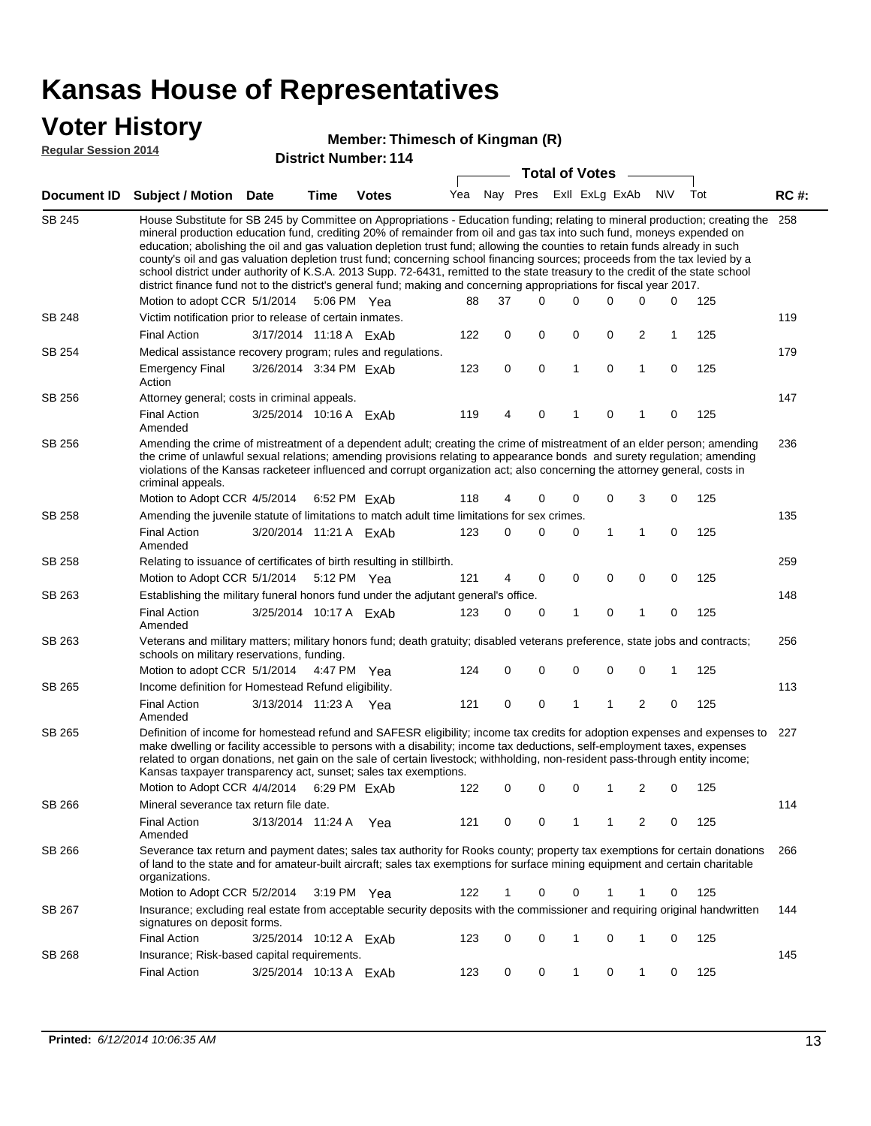### **Voter History**

**Regular Session 2014**

#### **Thimesch of Kingman (R)**

|               |                                                                                                                                                                                                                                                                                                                                                                                                                                                                                                                                                                                                                                                                                                                                                                                                                   |                        |                       | +ו ו וסעוווטטוע וטווע |     |    |             | <b>Total of Votes</b>       |              |   |     |     |             |
|---------------|-------------------------------------------------------------------------------------------------------------------------------------------------------------------------------------------------------------------------------------------------------------------------------------------------------------------------------------------------------------------------------------------------------------------------------------------------------------------------------------------------------------------------------------------------------------------------------------------------------------------------------------------------------------------------------------------------------------------------------------------------------------------------------------------------------------------|------------------------|-----------------------|-----------------------|-----|----|-------------|-----------------------------|--------------|---|-----|-----|-------------|
|               | Document ID Subject / Motion Date                                                                                                                                                                                                                                                                                                                                                                                                                                                                                                                                                                                                                                                                                                                                                                                 |                        | <b>Time</b>           | <b>Votes</b>          |     |    |             | Yea Nay Pres ExII ExLg ExAb |              |   | N\V | Tot | <b>RC#:</b> |
| <b>SB 245</b> | House Substitute for SB 245 by Committee on Appropriations - Education funding; relating to mineral production; creating the 258<br>mineral production education fund, crediting 20% of remainder from oil and gas tax into such fund, moneys expended on<br>education; abolishing the oil and gas valuation depletion trust fund; allowing the counties to retain funds already in such<br>county's oil and gas valuation depletion trust fund; concerning school financing sources; proceeds from the tax levied by a<br>school district under authority of K.S.A. 2013 Supp. 72-6431, remitted to the state treasury to the credit of the state school<br>district finance fund not to the district's general fund; making and concerning appropriations for fiscal year 2017.<br>Motion to adopt CCR 5/1/2014 |                        | 5:06 PM Yea           |                       | 88  | 37 | $\Omega$    | $\Omega$                    | 0            | 0 | 0   | 125 |             |
| <b>SB 248</b> | Victim notification prior to release of certain inmates.                                                                                                                                                                                                                                                                                                                                                                                                                                                                                                                                                                                                                                                                                                                                                          |                        |                       |                       |     |    |             |                             |              |   |     |     | 119         |
|               | <b>Final Action</b>                                                                                                                                                                                                                                                                                                                                                                                                                                                                                                                                                                                                                                                                                                                                                                                               | 3/17/2014 11:18 A ExAb |                       |                       | 122 | 0  | 0           | 0                           | 0            | 2 | 1   | 125 |             |
| SB 254        | Medical assistance recovery program; rules and regulations.                                                                                                                                                                                                                                                                                                                                                                                                                                                                                                                                                                                                                                                                                                                                                       |                        |                       |                       |     |    |             |                             |              |   |     |     | 179         |
|               | <b>Emergency Final</b><br>Action                                                                                                                                                                                                                                                                                                                                                                                                                                                                                                                                                                                                                                                                                                                                                                                  | 3/26/2014 3:34 PM ExAb |                       |                       | 123 | 0  | $\mathbf 0$ | $\mathbf{1}$                | 0            | 1 | 0   | 125 |             |
| SB 256        | Attorney general; costs in criminal appeals.                                                                                                                                                                                                                                                                                                                                                                                                                                                                                                                                                                                                                                                                                                                                                                      |                        |                       |                       |     |    |             |                             |              |   |     |     | 147         |
|               | <b>Final Action</b><br>Amended                                                                                                                                                                                                                                                                                                                                                                                                                                                                                                                                                                                                                                                                                                                                                                                    | 3/25/2014 10:16 A ExAb |                       |                       | 119 | 4  | 0           | 1                           | 0            | 1 | 0   | 125 |             |
| SB 256        | Amending the crime of mistreatment of a dependent adult; creating the crime of mistreatment of an elder person; amending<br>the crime of unlawful sexual relations; amending provisions relating to appearance bonds and surety regulation; amending<br>violations of the Kansas racketeer influenced and corrupt organization act; also concerning the attorney general, costs in<br>criminal appeals.                                                                                                                                                                                                                                                                                                                                                                                                           |                        |                       |                       |     |    |             |                             |              |   |     |     | 236         |
|               | Motion to Adopt CCR 4/5/2014 6:52 PM ExAb                                                                                                                                                                                                                                                                                                                                                                                                                                                                                                                                                                                                                                                                                                                                                                         |                        |                       |                       | 118 | 4  | 0           | 0                           | 0            | 3 | 0   | 125 |             |
| SB 258        | Amending the juvenile statute of limitations to match adult time limitations for sex crimes.                                                                                                                                                                                                                                                                                                                                                                                                                                                                                                                                                                                                                                                                                                                      |                        |                       |                       |     |    |             |                             |              |   |     |     | 135         |
|               | <b>Final Action</b><br>Amended                                                                                                                                                                                                                                                                                                                                                                                                                                                                                                                                                                                                                                                                                                                                                                                    | 3/20/2014 11:21 A ExAb |                       |                       | 123 | 0  | 0           | 0                           | $\mathbf{1}$ | 1 | 0   | 125 |             |
| SB 258        | Relating to issuance of certificates of birth resulting in stillbirth.                                                                                                                                                                                                                                                                                                                                                                                                                                                                                                                                                                                                                                                                                                                                            |                        |                       |                       |     |    |             |                             |              |   |     |     | 259         |
|               | Motion to Adopt CCR 5/1/2014 5:12 PM Yea                                                                                                                                                                                                                                                                                                                                                                                                                                                                                                                                                                                                                                                                                                                                                                          |                        |                       |                       | 121 | 4  | 0           | 0                           | 0            | 0 | 0   | 125 |             |
| SB 263        | Establishing the military funeral honors fund under the adjutant general's office.                                                                                                                                                                                                                                                                                                                                                                                                                                                                                                                                                                                                                                                                                                                                |                        |                       |                       |     |    |             |                             |              |   |     |     | 148         |
|               | <b>Final Action</b><br>Amended                                                                                                                                                                                                                                                                                                                                                                                                                                                                                                                                                                                                                                                                                                                                                                                    | 3/25/2014 10:17 A ExAb |                       |                       | 123 | 0  | 0           | 1                           | 0            | 1 | 0   | 125 |             |
| SB 263        | Veterans and military matters; military honors fund; death gratuity; disabled veterans preference, state jobs and contracts;<br>schools on military reservations, funding.                                                                                                                                                                                                                                                                                                                                                                                                                                                                                                                                                                                                                                        |                        |                       |                       |     |    |             |                             |              |   |     |     | 256         |
|               | Motion to adopt CCR 5/1/2014 4:47 PM Yea                                                                                                                                                                                                                                                                                                                                                                                                                                                                                                                                                                                                                                                                                                                                                                          |                        |                       |                       | 124 | 0  | 0           | 0                           | 0            | 0 | 1   | 125 |             |
| SB 265        | Income definition for Homestead Refund eligibility.                                                                                                                                                                                                                                                                                                                                                                                                                                                                                                                                                                                                                                                                                                                                                               |                        |                       |                       |     |    |             |                             |              |   |     |     | 113         |
|               | <b>Final Action</b><br>Amended                                                                                                                                                                                                                                                                                                                                                                                                                                                                                                                                                                                                                                                                                                                                                                                    | 3/13/2014 11:23 A Yea  |                       |                       | 121 | 0  | 0           | 1                           | 1            | 2 | 0   | 125 |             |
| SB 265        | Definition of income for homestead refund and SAFESR eligibility; income tax credits for adoption expenses and expenses to<br>make dwelling or facility accessible to persons with a disability; income tax deductions, self-employment taxes, expenses<br>related to organ donations, net gain on the sale of certain livestock; withholding, non-resident pass-through entity income;<br>Kansas taxpayer transparency act, sunset; sales tax exemptions.<br>Motion to Adopt CCR 4/4/2014                                                                                                                                                                                                                                                                                                                        |                        | 6:29 PM FxAb          |                       | 122 | 0  | 0           | 0                           | 1            | 2 | 0   | 125 | 227         |
| SB 266        | Mineral severance tax return file date.                                                                                                                                                                                                                                                                                                                                                                                                                                                                                                                                                                                                                                                                                                                                                                           |                        |                       |                       |     |    |             |                             |              |   |     |     | 114         |
|               | <b>Final Action</b><br>Amended                                                                                                                                                                                                                                                                                                                                                                                                                                                                                                                                                                                                                                                                                                                                                                                    | 3/13/2014 11:24 A      |                       | Yea                   | 121 | 0  | 0           | 1                           | 1            | 2 | 0   | 125 |             |
| SB 266        | Severance tax return and payment dates; sales tax authority for Rooks county; property tax exemptions for certain donations<br>of land to the state and for amateur-built aircraft; sales tax exemptions for surface mining equipment and certain charitable<br>organizations.                                                                                                                                                                                                                                                                                                                                                                                                                                                                                                                                    |                        |                       |                       |     |    |             |                             |              |   |     |     | 266         |
|               | Motion to Adopt CCR 5/2/2014                                                                                                                                                                                                                                                                                                                                                                                                                                                                                                                                                                                                                                                                                                                                                                                      |                        | $3:19 \text{ PM}$ Yea |                       | 122 | 1  | 0           | 0                           | 1            | 1 | 0   | 125 |             |
| SB 267        | Insurance; excluding real estate from acceptable security deposits with the commissioner and requiring original handwritten<br>signatures on deposit forms.                                                                                                                                                                                                                                                                                                                                                                                                                                                                                                                                                                                                                                                       |                        |                       |                       |     |    |             |                             |              |   |     |     | 144         |
|               | <b>Final Action</b>                                                                                                                                                                                                                                                                                                                                                                                                                                                                                                                                                                                                                                                                                                                                                                                               | 3/25/2014 10:12 A ExAb |                       |                       | 123 | 0  | 0           | 1                           | 0            | 1 | 0   | 125 |             |
| SB 268        | Insurance; Risk-based capital requirements.                                                                                                                                                                                                                                                                                                                                                                                                                                                                                                                                                                                                                                                                                                                                                                       |                        |                       |                       |     |    |             |                             |              |   |     |     | 145         |
|               | <b>Final Action</b>                                                                                                                                                                                                                                                                                                                                                                                                                                                                                                                                                                                                                                                                                                                                                                                               | 3/25/2014 10:13 A ExAb |                       |                       | 123 | 0  | 0           | 1                           | 0            | 1 | 0   | 125 |             |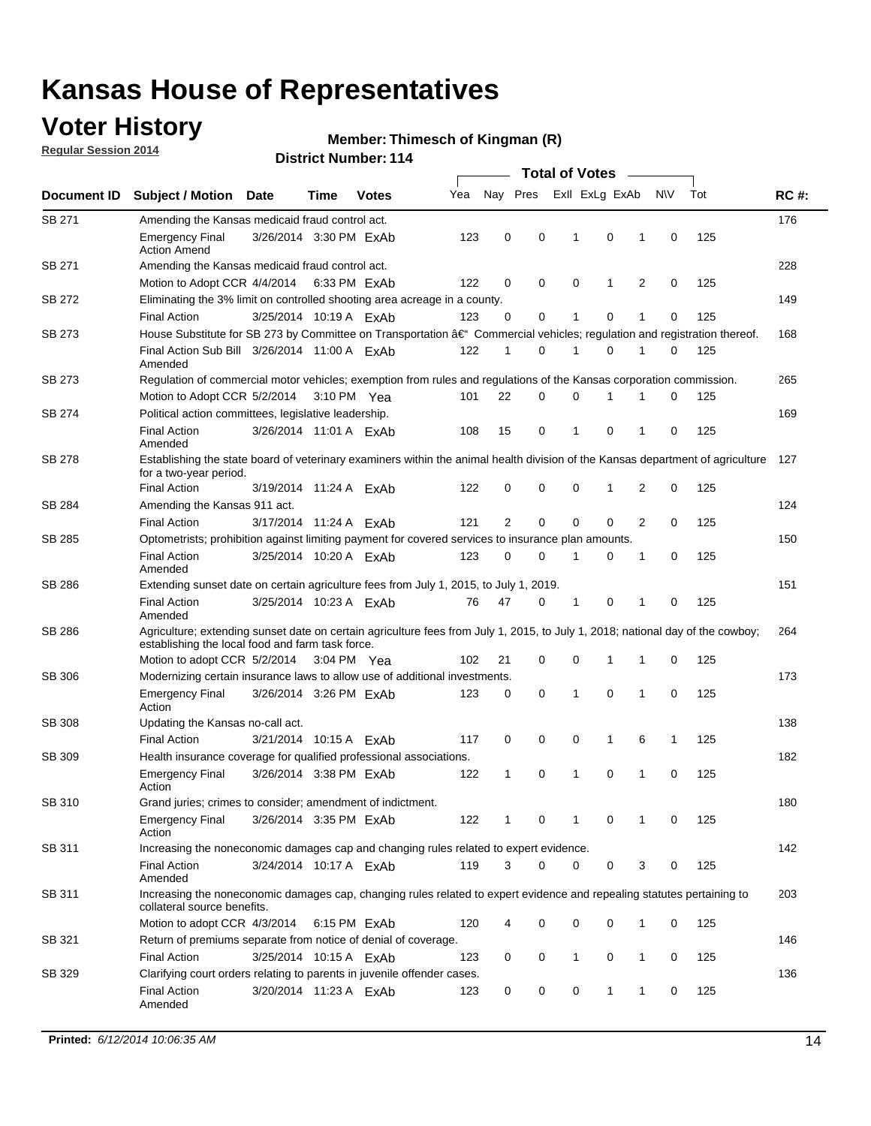### **Voter History**

**Regular Session 2014**

#### **Thimesch of Kingman (R)**

|               |                                                                                                                                                                                    |                        |      |              |     |              |             | <b>Total of Votes</b> |                |   |             |     |             |
|---------------|------------------------------------------------------------------------------------------------------------------------------------------------------------------------------------|------------------------|------|--------------|-----|--------------|-------------|-----------------------|----------------|---|-------------|-----|-------------|
| Document ID   | <b>Subject / Motion Date</b>                                                                                                                                                       |                        | Time | <b>Votes</b> | Yea |              | Nay Pres    |                       | Exll ExLg ExAb |   | <b>NV</b>   | Tot | <b>RC#:</b> |
| SB 271        | Amending the Kansas medicaid fraud control act.                                                                                                                                    |                        |      |              |     |              |             |                       |                |   |             |     | 176         |
|               | <b>Emergency Final</b><br><b>Action Amend</b>                                                                                                                                      | 3/26/2014 3:30 PM ExAb |      |              | 123 | 0            | 0           | -1                    | 0              | 1 | 0           | 125 |             |
| <b>SB 271</b> | Amending the Kansas medicaid fraud control act.                                                                                                                                    |                        |      |              |     |              |             |                       |                |   |             |     | 228         |
|               | Motion to Adopt CCR 4/4/2014 6:33 PM ExAb                                                                                                                                          |                        |      |              | 122 | 0            | 0           | 0                     | 1              | 2 | 0           | 125 |             |
| SB 272        | Eliminating the 3% limit on controlled shooting area acreage in a county.                                                                                                          |                        |      |              |     |              |             |                       |                |   |             |     | 149         |
|               | <b>Final Action</b>                                                                                                                                                                | 3/25/2014 10:19 A ExAb |      |              | 123 | 0            | 0           | 1                     | 0              | 1 | 0           | 125 |             |
| SB 273        | House Substitute for SB 273 by Committee on Transportation †Commercial vehicles; regulation and registration thereof.                                                              |                        |      |              |     |              |             |                       |                |   |             |     | 168         |
|               | Final Action Sub Bill 3/26/2014 11:00 A ExAb<br>Amended                                                                                                                            |                        |      |              | 122 | 1            | 0           | 1                     | 0              | 1 | 0           | 125 |             |
| SB 273        | Regulation of commercial motor vehicles; exemption from rules and regulations of the Kansas corporation commission.                                                                |                        |      |              |     |              |             |                       |                |   |             |     | 265         |
|               | Motion to Adopt CCR 5/2/2014 3:10 PM Yea                                                                                                                                           |                        |      |              | 101 | 22           | 0           | 0                     | 1              | 1 | 0           | 125 |             |
| SB 274        | Political action committees, legislative leadership.                                                                                                                               |                        |      |              |     |              |             |                       |                |   |             |     | 169         |
|               | <b>Final Action</b><br>Amended                                                                                                                                                     | 3/26/2014 11:01 A ExAb |      |              | 108 | 15           | 0           | $\mathbf{1}$          | $\Omega$       | 1 | 0           | 125 |             |
| <b>SB 278</b> | Establishing the state board of veterinary examiners within the animal health division of the Kansas department of agriculture<br>for a two-year period.                           |                        |      |              |     |              |             |                       |                |   |             |     | 127         |
|               | <b>Final Action</b>                                                                                                                                                                | 3/19/2014 11:24 A ExAb |      |              | 122 | 0            | 0           | 0                     | 1              | 2 | 0           | 125 |             |
| SB 284        | Amending the Kansas 911 act.                                                                                                                                                       |                        |      |              |     |              |             |                       |                |   |             |     | 124         |
|               | <b>Final Action</b>                                                                                                                                                                | 3/17/2014 11:24 A ExAb |      |              | 121 | 2            | $\mathbf 0$ | $\mathbf 0$           | $\mathbf 0$    | 2 | 0           | 125 |             |
| SB 285        | Optometrists; prohibition against limiting payment for covered services to insurance plan amounts.                                                                                 |                        |      |              |     |              |             |                       |                |   |             |     | 150         |
|               | <b>Final Action</b><br>Amended                                                                                                                                                     | 3/25/2014 10:20 A ExAb |      |              | 123 | 0            | 0           | $\mathbf{1}$          | 0              | 1 | $\mathbf 0$ | 125 |             |
| SB 286        | Extending sunset date on certain agriculture fees from July 1, 2015, to July 1, 2019.                                                                                              |                        |      |              |     |              |             |                       |                |   |             |     | 151         |
|               | <b>Final Action</b><br>Amended                                                                                                                                                     | 3/25/2014 10:23 A ExAb |      |              | 76  | 47           | 0           | -1                    | 0              | 1 | 0           | 125 |             |
| SB 286        | Agriculture; extending sunset date on certain agriculture fees from July 1, 2015, to July 1, 2018; national day of the cowboy;<br>establishing the local food and farm task force. |                        |      |              |     |              |             |                       |                |   |             |     | 264         |
|               | Motion to adopt CCR 5/2/2014 3:04 PM Yea                                                                                                                                           |                        |      |              | 102 | 21           | 0           | 0                     | 1              | 1 | 0           | 125 |             |
| <b>SB 306</b> | Modernizing certain insurance laws to allow use of additional investments.                                                                                                         |                        |      |              |     |              |             |                       |                |   |             |     | 173         |
|               | <b>Emergency Final</b><br>Action                                                                                                                                                   | 3/26/2014 3:26 PM ExAb |      |              | 123 | 0            | 0           | 1                     | 0              | 1 | 0           | 125 |             |
| <b>SB 308</b> | Updating the Kansas no-call act.                                                                                                                                                   |                        |      |              |     |              |             |                       |                |   |             |     | 138         |
|               | <b>Final Action</b>                                                                                                                                                                | 3/21/2014 10:15 A ExAb |      |              | 117 | 0            | 0           | 0                     | $\mathbf{1}$   | 6 | 1           | 125 |             |
| SB 309        | Health insurance coverage for qualified professional associations.                                                                                                                 |                        |      |              |     |              |             |                       |                |   |             |     | 182         |
|               | <b>Emergency Final</b><br>Action                                                                                                                                                   | 3/26/2014 3:38 PM ExAb |      |              | 122 | $\mathbf{1}$ | 0           | 1                     | 0              | 1 | $\mathbf 0$ | 125 |             |
| SB 310        | Grand juries; crimes to consider; amendment of indictment.                                                                                                                         |                        |      |              |     |              |             |                       |                |   |             |     | 180         |
|               | <b>Emergency Final</b><br>Action                                                                                                                                                   | 3/26/2014 3:35 PM ExAb |      |              | 122 | 1            | 0           | 1                     | 0              | 1 | 0           | 125 |             |
| SB 311        | Increasing the noneconomic damages cap and changing rules related to expert evidence.                                                                                              |                        |      |              |     |              |             |                       |                |   |             |     | 142         |
|               | <b>Final Action</b><br>Amended                                                                                                                                                     | 3/24/2014 10:17 A ExAb |      |              | 119 | 3            | $\Omega$    | 0                     | 0              | 3 | 0           | 125 |             |
| SB 311        | Increasing the noneconomic damages cap, changing rules related to expert evidence and repealing statutes pertaining to<br>collateral source benefits.                              |                        |      |              |     |              |             |                       |                |   |             |     | 203         |
|               | Motion to adopt CCR 4/3/2014 6:15 PM ExAb                                                                                                                                          |                        |      |              | 120 |              | 0           | 0                     | 0              | 1 | 0           | 125 |             |
| SB 321        | Return of premiums separate from notice of denial of coverage.                                                                                                                     |                        |      |              |     |              |             |                       |                |   |             |     | 146         |
|               | <b>Final Action</b>                                                                                                                                                                | 3/25/2014 10:15 A ExAb |      |              | 123 | 0            | 0           | $\mathbf{1}$          | 0              | 1 | 0           | 125 |             |
| SB 329        | Clarifying court orders relating to parents in juvenile offender cases.<br><b>Final Action</b><br>Amended                                                                          | 3/20/2014 11:23 A ExAb |      |              | 123 | 0            | 0           | 0                     | 1              | 1 | 0           | 125 | 136         |
|               |                                                                                                                                                                                    |                        |      |              |     |              |             |                       |                |   |             |     |             |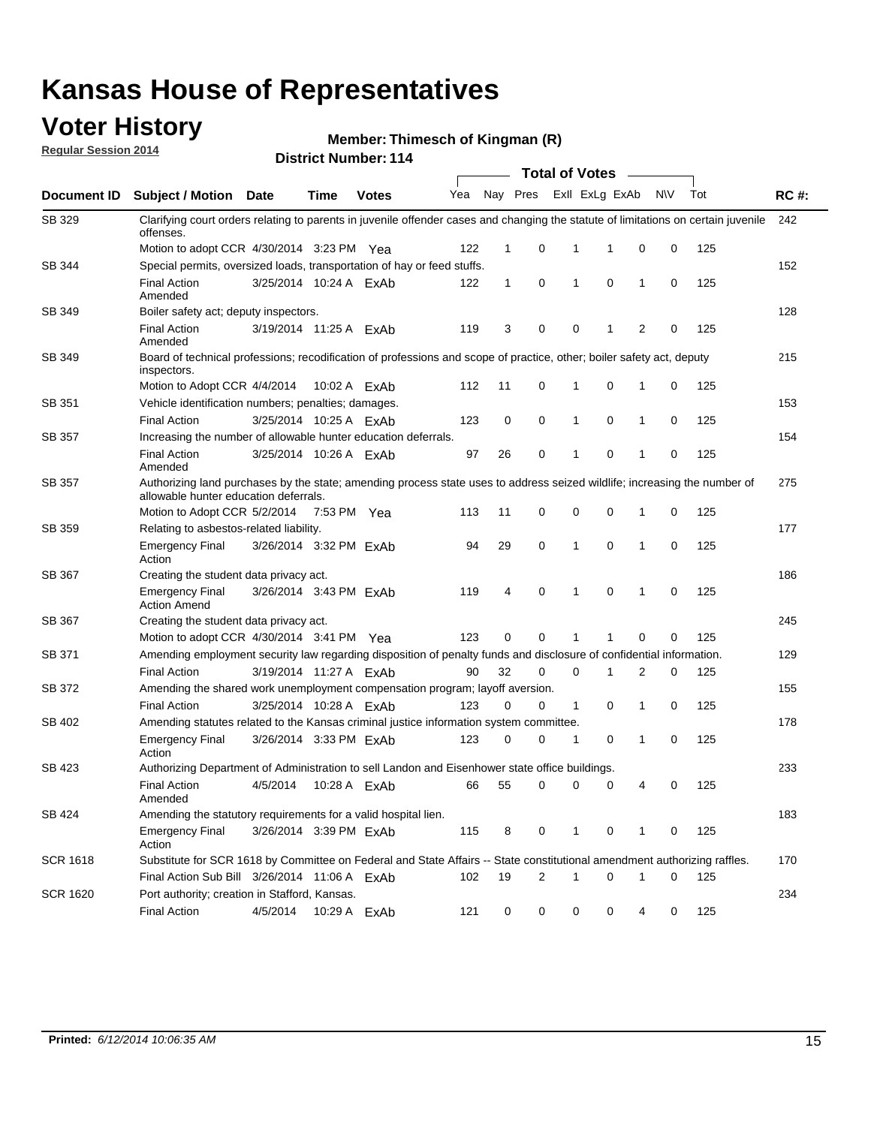### **Voter History**

**Regular Session 2014**

**Thimesch of Kingman (R)**

|                 |                                                                                                                                                                    |                        |              |              |     |              |                | <b>Total of Votes</b> |                         |              |             |     |             |
|-----------------|--------------------------------------------------------------------------------------------------------------------------------------------------------------------|------------------------|--------------|--------------|-----|--------------|----------------|-----------------------|-------------------------|--------------|-------------|-----|-------------|
| Document ID     | <b>Subject / Motion</b>                                                                                                                                            | <b>Date</b>            | <b>Time</b>  | <b>Votes</b> | Yea |              |                |                       | Nay Pres Exll ExLg ExAb |              | N\V         | Tot | <b>RC#:</b> |
| SB 329          | Clarifying court orders relating to parents in juvenile offender cases and changing the statute of limitations on certain juvenile<br>offenses.                    |                        |              |              |     |              |                |                       |                         |              |             |     | 242         |
|                 | Motion to adopt CCR 4/30/2014 3:23 PM Yea                                                                                                                          |                        |              |              | 122 | 1            | 0              | 1                     | 1                       | $\mathbf 0$  | 0           | 125 |             |
| SB 344          | Special permits, oversized loads, transportation of hay or feed stuffs.                                                                                            |                        |              |              |     |              |                |                       |                         |              |             |     | 152         |
|                 | <b>Final Action</b><br>Amended                                                                                                                                     | 3/25/2014 10:24 A ExAb |              |              | 122 | $\mathbf{1}$ | 0              | 1                     | $\mathbf 0$             | 1            | 0           | 125 |             |
| SB 349          | Boiler safety act; deputy inspectors.                                                                                                                              |                        |              |              |     |              |                |                       |                         |              |             |     | 128         |
|                 | <b>Final Action</b><br>Amended                                                                                                                                     | 3/19/2014 11:25 A ExAb |              |              | 119 | 3            | 0              | 0                     | 1                       | 2            | 0           | 125 |             |
| <b>SB 349</b>   | Board of technical professions; recodification of professions and scope of practice, other; boiler safety act, deputy<br>inspectors.                               |                        |              |              |     |              |                |                       |                         |              |             |     | 215         |
|                 | Motion to Adopt CCR 4/4/2014                                                                                                                                       |                        | 10:02 A ExAb |              | 112 | 11           | 0              | 1                     | 0                       | $\mathbf{1}$ | 0           | 125 |             |
| SB 351          | Vehicle identification numbers; penalties; damages.                                                                                                                |                        |              |              |     |              |                |                       |                         |              |             |     | 153         |
|                 | <b>Final Action</b>                                                                                                                                                | 3/25/2014 10:25 A ExAb |              |              | 123 | 0            | 0              | 1                     | $\mathbf 0$             | 1            | 0           | 125 |             |
| <b>SB 357</b>   | Increasing the number of allowable hunter education deferrals.                                                                                                     |                        |              |              |     |              |                |                       |                         |              |             |     | 154         |
|                 | <b>Final Action</b><br>Amended                                                                                                                                     | 3/25/2014 10:26 A ExAb |              |              | 97  | 26           | 0              | 1                     | 0                       | $\mathbf 1$  | $\mathbf 0$ | 125 |             |
| SB 357          | Authorizing land purchases by the state; amending process state uses to address seized wildlife; increasing the number of<br>allowable hunter education deferrals. |                        |              |              |     |              |                |                       |                         |              |             |     | 275         |
|                 | Motion to Adopt CCR 5/2/2014                                                                                                                                       |                        | 7:53 PM Yea  |              | 113 | 11           | 0              | 0                     | $\mathbf 0$             | 1            | 0           | 125 |             |
| SB 359          | Relating to asbestos-related liability.                                                                                                                            |                        |              |              |     |              |                |                       |                         |              |             |     | 177         |
|                 | <b>Emergency Final</b><br>Action                                                                                                                                   | 3/26/2014 3:32 PM ExAb |              |              | 94  | 29           | 0              | 1                     | 0                       | 1            | 0           | 125 |             |
| SB 367          | Creating the student data privacy act.                                                                                                                             |                        |              |              |     |              |                |                       |                         |              |             |     | 186         |
|                 | <b>Emergency Final</b><br><b>Action Amend</b>                                                                                                                      | 3/26/2014 3:43 PM ExAb |              |              | 119 | 4            | 0              | 1                     | $\mathbf 0$             | 1            | 0           | 125 |             |
| SB 367          | Creating the student data privacy act.                                                                                                                             |                        |              |              |     |              |                |                       |                         |              |             |     | 245         |
|                 | Motion to adopt CCR 4/30/2014 3:41 PM Yea                                                                                                                          |                        |              |              | 123 | 0            | 0              | 1                     | 1                       | $\mathbf 0$  | 0           | 125 |             |
| SB 371          | Amending employment security law regarding disposition of penalty funds and disclosure of confidential information.                                                |                        |              |              |     |              |                |                       |                         |              |             |     | 129         |
|                 | <b>Final Action</b>                                                                                                                                                | 3/19/2014 11:27 A ExAb |              |              | 90  | 32           | $\mathbf 0$    | 0                     | 1                       | 2            | 0           | 125 |             |
| SB 372          | Amending the shared work unemployment compensation program; layoff aversion.                                                                                       |                        |              |              |     |              |                |                       |                         |              |             |     | 155         |
|                 | <b>Final Action</b>                                                                                                                                                | 3/25/2014 10:28 A ExAb |              |              | 123 | 0            | 0              | $\mathbf{1}$          | 0                       | 1            | 0           | 125 |             |
| SB 402          | Amending statutes related to the Kansas criminal justice information system committee.                                                                             |                        |              |              |     |              |                |                       |                         |              |             |     | 178         |
|                 | <b>Emergency Final</b><br>Action                                                                                                                                   | 3/26/2014 3:33 PM ExAb |              |              | 123 | 0            | 0              | 1                     | 0                       | 1            | 0           | 125 |             |
| SB 423          | Authorizing Department of Administration to sell Landon and Eisenhower state office buildings.                                                                     |                        |              |              |     |              |                |                       |                         |              |             |     | 233         |
|                 | <b>Final Action</b><br>Amended                                                                                                                                     | 4/5/2014               | 10:28 A ExAb |              | 66  | 55           | 0              | 0                     | 0                       | 4            | 0           | 125 |             |
| SB 424          | Amending the statutory requirements for a valid hospital lien.                                                                                                     |                        |              |              |     |              |                |                       |                         |              |             |     | 183         |
|                 | <b>Emergency Final</b><br>Action                                                                                                                                   | 3/26/2014 3:39 PM ExAb |              |              | 115 | 8            | 0              | 1                     | 0                       | 1            | 0           | 125 |             |
| <b>SCR 1618</b> | Substitute for SCR 1618 by Committee on Federal and State Affairs -- State constitutional amendment authorizing raffles.                                           |                        |              |              |     |              |                |                       |                         |              |             |     | 170         |
|                 | Final Action Sub Bill 3/26/2014 11:06 A ExAb                                                                                                                       |                        |              |              | 102 | 19           | $\overline{2}$ | 1                     | 0                       | $\mathbf{1}$ | 0           | 125 |             |
| <b>SCR 1620</b> | Port authority; creation in Stafford, Kansas.                                                                                                                      |                        |              |              |     |              |                |                       |                         |              |             |     | 234         |
|                 | <b>Final Action</b>                                                                                                                                                | 4/5/2014               |              | 10:29 A ExAb | 121 | 0            | 0              | 0                     | 0                       | 4            | 0           | 125 |             |